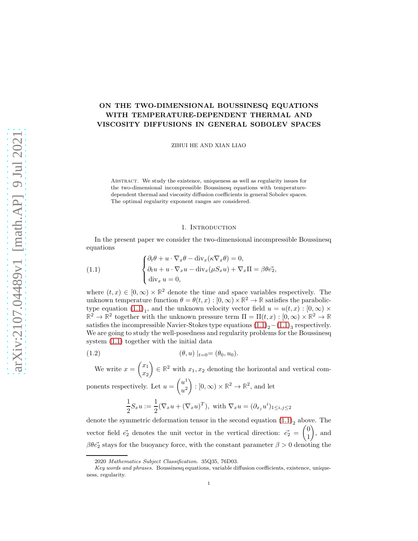# ON THE TWO-DIMENSIONAL BOUSSINESQ EQUATIONS WITH TEMPERATURE-DEPENDENT THERMAL AND VISCOSITY DIFFUSIONS IN GENERAL SOBOLEV SPACES

ZIHUI HE AND XIAN LIAO

Abstract. We study the existence, uniqueness as well as regularity issues for the two-dimensional incompressible Boussinesq equations with temperaturedependent thermal and viscosity diffusion coefficients in general Sobolev spaces. The optimal regularity exponent ranges are considered.

#### 1. INTRODUCTION

In the present paper we consider the two-dimensional incompressible Boussinesq equations

<span id="page-0-0"></span>(1.1) 
$$
\begin{cases} \partial_t \theta + u \cdot \nabla_x \theta - \text{div}_x (\kappa \nabla_x \theta) = 0, \\ \partial_t u + u \cdot \nabla_x u - \text{div}_x (\mu S_x u) + \nabla_x \Pi = \beta \theta \vec{e_2}, \\ \text{div}_x u = 0, \end{cases}
$$

where  $(t, x) \in [0, \infty) \times \mathbb{R}^2$  denote the time and space variables respectively. The unknown temperature function  $\theta = \theta(t, x) : [0, \infty) \times \mathbb{R}^2 \to \mathbb{R}$  satisfies the parabolictype equation  $(1.1)<sub>1</sub>$ , and the unknown velocity vector field  $u = u(t, x) : [0, \infty) \times$  $\mathbb{R}^2 \to \mathbb{R}^2$  together with the unknown pressure term  $\Pi = \Pi(t, x) : [0, \infty) \times \mathbb{R}^2 \to \mathbb{R}$ satisfies the incompressible Navier-Stokes type equations  $(1.1)<sub>2</sub>-(1.1)<sub>3</sub>$  $(1.1)<sub>2</sub>-(1.1)<sub>3</sub>$  respectively. We are going to study the well-posedness and regularity problems for the Boussinesq system [\(1.1\)](#page-0-0) together with the initial data

(1.2) 
$$
(\theta, u) |_{t=0} = (\theta_0, u_0).
$$

We write  $x = \begin{pmatrix} x_1 \\ x_2 \end{pmatrix}$  $\overline{x_2}$  $\Big) \in \mathbb{R}^2$  with  $x_1, x_2$  denoting the horizontal and vertical components respectively. Let  $u = \begin{pmatrix} u^1 \\ u^2 \end{pmatrix}$  $u^2$  $\Bigg): [0, \infty) \times \mathbb{R}^2 \to \mathbb{R}^2$ , and let

<span id="page-0-1"></span>
$$
\frac{1}{2}S_xu := \frac{1}{2}(\nabla_x u + (\nabla_x u)^T), \text{ with } \nabla_x u = (\partial_{x_j} u^i)_{1 \le i,j \le 2}
$$

denote the symmetric deformation tensor in the second equation  $(1.1)<sub>2</sub>$  above. The vector field  $\vec{e_2}$  denotes the unit vector in the vertical direction:  $\vec{e_2} = \begin{pmatrix} 0 \\ 1 \end{pmatrix}$ 1  $\Big)$ , and  $\beta \theta \vec{e_2}$  stays for the buoyancy force, with the constant parameter  $\beta > 0$  denoting the

<sup>2020</sup> Mathematics Subject Classification. 35Q35, 76D03.

Key words and phrases. Boussinesq equations, variable diffusion coefficients, existence, uniqueness, regularity.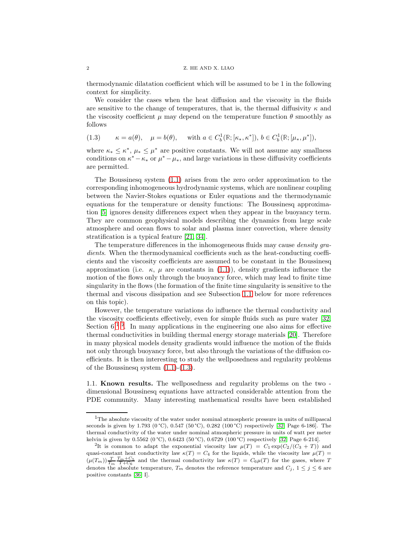thermodynamic dilatation coefficient which will be assumed to be 1 in the following context for simplicity.

We consider the cases when the heat diffusion and the viscosity in the fluids are sensitive to the change of temperatures, that is, the thermal diffusivity  $\kappa$  and the viscosity coefficient  $\mu$  may depend on the temperature function  $\theta$  smoothly as follows

<span id="page-1-3"></span>(1.3) 
$$
\kappa = a(\theta), \quad \mu = b(\theta), \quad \text{with } a \in C_b^1(\mathbb{R}; [\kappa_*, \kappa^*]), b \in C_b^1(\mathbb{R}; [\mu_*, \mu^*]),
$$

where  $\kappa_* \leq \kappa^*$ ,  $\mu_* \leq \mu^*$  are positive constants. We will not assume any smallness conditions on  $\kappa^* - \kappa_*$  or  $\mu^* - \mu_*$ , and large variations in these diffusivity coefficients are permitted.

The Boussinesq system [\(1.1\)](#page-0-0) arises from the zero order approximation to the corresponding inhomogeneous hydrodynamic systems, which are nonlinear coupling between the Navier-Stokes equations or Euler equations and the thermodynamic equations for the temperature or density functions: The Boussinesq approximation [\[5\]](#page-23-0) ignores density differences expect when they appear in the buoyancy term. They are common geophysical models describing the dynamics from large scale atmosphere and ocean flows to solar and plasma inner convection, where density stratification is a typical feature [\[21,](#page-24-0) [34\]](#page-24-1).

The temperature differences in the inhomogeneous fluids may cause *density gra*dients. When the thermodynamical coefficients such as the heat-conducting coefficients and the viscosity coefficients are assumed to be constant in the Boussinesq approximation (i.e.  $\kappa$ ,  $\mu$  are constants in [\(1.1\)](#page-0-0)), density gradients influence the motion of the flows only through the buoyancy force, which may lead to finite time singularity in the flows (the formation of the finite time singularity is sensitive to the thermal and viscous dissipation and see Subsection [1.1](#page-1-0) below for more references on this topic).

However, the temperature variations do influence the thermal conductivity and the viscosity coefficients effectively, even for simple fluids such as pure water [\[32,](#page-24-2) Section  $6$ <sup>[1](#page-1-1)</sup><sup>[2](#page-1-2)</sup>. In many applications in the engineering one also aims for effective thermal conductivities in building thermal energy storage materials [\[20\]](#page-24-3). Therefore in many physical models density gradients would influence the motion of the fluids not only through buoyancy force, but also through the variations of the diffusion coefficients. It is then interesting to study the wellposedness and regularity problems of the Boussinesq system  $(1.1)-(1.3)$  $(1.1)-(1.3)$ .

<span id="page-1-0"></span>1.1. Known results. The wellposedness and regularity problems on the two dimensional Boussinesq equations have attracted considerable attention from the PDE community. Many interesting mathematical results have been established

<span id="page-1-1"></span> $1$ The absolute viscosity of the water under nominal atmospheric pressure in units of millipascal seconds is given by 1.793 (0 °C), 0.547 (50 °C), 0.282 (100 °C) respectively [\[32,](#page-24-2) Page 6-186]. The thermal conductivity of the water under nominal atmospheric pressure in units of watt per meter kelvin is given by 0.5562 (0 °C), 0.6423 (50 °C), 0.6729 (100 °C) respectively [\[32,](#page-24-2) Page 6-214].

<span id="page-1-2"></span><sup>&</sup>lt;sup>2</sup>It is common to adapt the exponential viscosity law  $\mu(T) = C_1 \exp(C_2/(C_3 + T))$  and quasi-constant heat conductivity law  $\kappa(T) = C_4$  for the liquids, while the viscosity law  $\mu(T)$  =  $(\mu(T_m))\frac{T}{T_m}\frac{T_m+C_5}{T+C_6}$  and the thermal conductivity law  $\kappa(T) = C_6\mu(T)$  for the gases, where T denotes the absolute temperature,  $T_m$  denotes the reference temperature and  $C_j$ ,  $1 \leq j \leq 6$  are positive constants [\[36,](#page-24-4) I].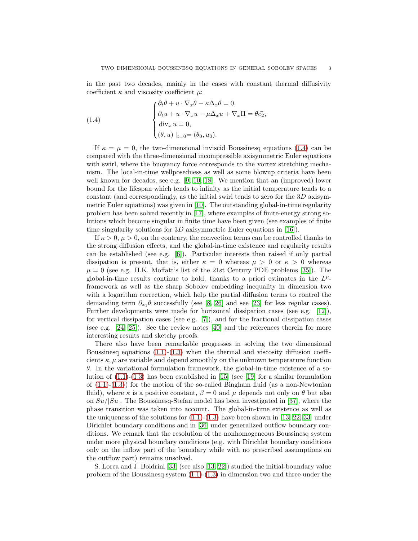in the past two decades, mainly in the cases with constant thermal diffusivity coefficient  $\kappa$  and viscosity coefficient  $\mu$ :

<span id="page-2-0"></span>(1.4) 
$$
\begin{cases} \partial_t \theta + u \cdot \nabla_x \theta - \kappa \Delta_x \theta = 0, \\ \partial_t u + u \cdot \nabla_x u - \mu \Delta_x u + \nabla_x \Pi = \theta \vec{e_2}, \\ \operatorname{div}_x u = 0, \\ (\theta, u) \mid_{t=0} = (\theta_0, u_0). \end{cases}
$$

If  $\kappa = \mu = 0$ , the two-dimensional inviscid Boussinesq equations [\(1.4\)](#page-2-0) can be compared with the three-dimensional incompressible axisymmetric Euler equations with swirl, where the buoyancy force corresponds to the vortex stretching mechanism. The local-in-time wellposedness as well as some blowup criteria have been well known for decades, see e.g. [\[9,](#page-23-1) [10,](#page-23-2) [18\]](#page-24-5). We mention that an (improved) lower bound for the lifespan which tends to infinity as the initial temperature tends to a constant (and correspondingly, as the initial swirl tends to zero for the  $3D$  axisymmetric Euler equations) was given in [\[10\]](#page-23-2). The outstanding global-in-time regularity problem has been solved recently in [\[17\]](#page-24-6), where examples of finite-energy strong solutions which become singular in finite time have been given (see examples of finite time singularity solutions for 3D axisymmetric Euler equations in [\[16\]](#page-24-7)).

If  $\kappa > 0$ ,  $\mu > 0$ , on the contrary, the convection terms can be controlled thanks to the strong diffusion effects, and the global-in-time existence and regularity results can be established (see e.g. [\[6\]](#page-23-3)). Particular interests then raised if only partial dissipation is present, that is, either  $\kappa = 0$  whereas  $\mu > 0$  or  $\kappa > 0$  whereas  $\mu = 0$  (see e.g. H.K. Moffatt's list of the 21st Century PDE problems [\[35\]](#page-24-8)). The global-in-time results continue to hold, thanks to a priori estimates in the  $L^p$ framework as well as the sharp Sobolev embedding inequality in dimension two with a logarithm correction, which help the partial diffusion terms to control the demanding term  $\partial_{x_1} \theta$  successfully (see [\[8,](#page-23-4) [26\]](#page-24-9) and see [\[23\]](#page-24-10) for less regular cases). Further developments were made for horizontal dissipation cases (see e.g. [\[12\]](#page-24-11)), for vertical dissipation cases (see e.g. [\[7\]](#page-23-5)), and for the fractional dissipation cases (see e.g. [\[24,](#page-24-12) [25\]](#page-24-13)). See the review notes [\[40\]](#page-25-0) and the references therein for more interesting results and sketchy proofs.

There also have been remarkable progresses in solving the two dimensional Boussinesq equations  $(1.1)-(1.3)$  $(1.1)-(1.3)$  when the thermal and viscosity diffusion coefficients  $\kappa, \mu$  are variable and depend smoothly on the unknown temperature function  $\theta$ . In the variational formulation framework, the global-in-time existence of a solution of  $(1.1)-(1.3)$  $(1.1)-(1.3)$  has been established in [\[15\]](#page-24-14) (see [\[19\]](#page-24-15) for a similar formulation of  $(1.1)-(1.3)$  $(1.1)-(1.3)$  for the motion of the so-called Bingham fluid (as a non-Newtonian fluid), where  $\kappa$  is a positive constant,  $\beta = 0$  and  $\mu$  depends not only on  $\theta$  but also on  $Su/|Su|$ . The Boussinesq-Stefan model has been investigated in [\[37\]](#page-25-1), where the phase transition was taken into account. The global-in-time existence as well as the uniqueness of the solutions for  $(1.1)-(1.3)$  $(1.1)-(1.3)$  have been shown in [\[13,](#page-24-16) [22,](#page-24-17) [33\]](#page-24-18) under Dirichlet boundary conditions and in [\[36\]](#page-24-4) under generalized outflow boundary conditions. We remark that the resolution of the nonhomogeneous Boussinesq system under more physical boundary conditions (e.g. with Dirichlet boundary conditions only on the inflow part of the boundary while with no prescribed assumptions on the outflow part) remains unsolved.

S. Lorca and J. Boldrini [\[33\]](#page-24-18) (see also [\[13,](#page-24-16) [22\]](#page-24-17)) studied the initial-boundary value problem of the Boussinesq system  $(1.1)-(1.3)$  $(1.1)-(1.3)$  in dimension two and three under the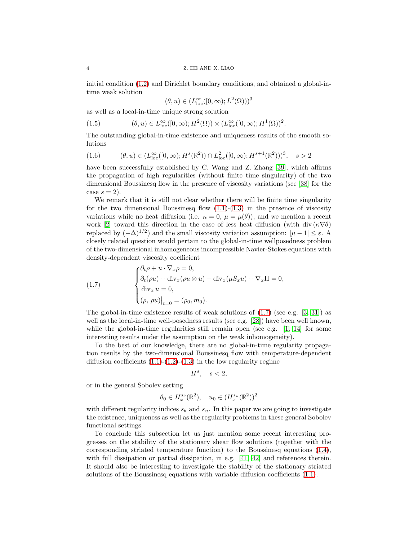initial condition [\(1.2\)](#page-0-1) and Dirichlet boundary conditions, and obtained a global-intime weak solution

<span id="page-3-1"></span>
$$
(\theta, u) \in (L_{\text{loc}}^{\infty}([0, \infty); L^2(\Omega)))^3
$$

as well as a local-in-time unique strong solution

(1.5) 
$$
(\theta, u) \in L^{\infty}_{loc}([0, \infty); H^{2}(\Omega)) \times (L^{\infty}_{loc}([0, \infty); H^{1}(\Omega))^{2}.
$$

The outstanding global-in-time existence and uniqueness results of the smooth solutions

<span id="page-3-2"></span>
$$
(1.6) \qquad (\theta, u) \in (L^{\infty}_{loc}([0, \infty); H^{s}(\mathbb{R}^{2})) \cap L^{2}_{loc}([0, \infty); H^{s+1}(\mathbb{R}^{2})))^{3}, \quad s > 2
$$

have been successfully established by C. Wang and Z. Zhang [\[39\]](#page-25-2), which affirms the propagation of high regularities (without finite time singularity) of the two dimensional Boussinesq flow in the presence of viscosity variations (see [\[38\]](#page-25-3) for the case  $s = 2$ ).

We remark that it is still not clear whether there will be finite time singularity for the two dimensional Boussinesq flow  $(1.1)-(1.3)$  $(1.1)-(1.3)$  in the presence of viscosity variations while no heat diffusion (i.e.  $\kappa = 0$ ,  $\mu = \mu(\theta)$ ), and we mention a recent work [\[2\]](#page-23-6) toward this direction in the case of less heat diffusion (with div  $(\kappa \nabla \theta)$ replaced by  $(-\Delta)^{1/2}$ ) and the small viscosity variation assumption:  $|\mu - 1| \leq \varepsilon$ . closely related question would pertain to the global-in-time wellposedness problem of the two-dimensional inhomogeneous incompressible Navier-Stokes equations with density-dependent viscosity coefficient

<span id="page-3-0"></span>(1.7) 
$$
\begin{cases} \partial_t \rho + u \cdot \nabla_x \rho = 0, \\ \partial_t (\rho u) + \text{div}_x (\rho u \otimes u) - \text{div}_x (\mu S_x u) + \nabla_x \Pi = 0, \\ \text{div}_x u = 0, \\ (\rho, \rho u)|_{t=0} = (\rho_0, m_0). \end{cases}
$$

The global-in-time existence results of weak solutions of  $(1.7)$  (see e.g.  $[3, 31]$  $[3, 31]$ ) as well as the local-in-time well-posedness results (see e.g. [\[28\]](#page-24-20)) have been well known, while the global-in-time regularities still remain open (see e.g.  $[1, 14]$  $[1, 14]$  for some interesting results under the assumption on the weak inhomogeneity).

To the best of our knowledge, there are no global-in-time regularity propagation results by the two-dimensional Boussinesq flow with temperature-dependent diffusion coefficients  $(1.1)-(1.2)-(1.3)$  $(1.1)-(1.2)-(1.3)$  $(1.1)-(1.2)-(1.3)$  $(1.1)-(1.2)-(1.3)$  in the low regularity regime

$$
H^s, \quad s < 2,
$$

or in the general Sobolev setting

$$
\theta_0 \in H_x^{s_{\theta}}(\mathbb{R}^2), \quad u_0 \in (H_x^{s_u}(\mathbb{R}^2))^2
$$

with different regularity indices  $s_{\theta}$  and  $s_u$ . In this paper we are going to investigate the existence, uniqueness as well as the regularity problems in these general Sobolev functional settings.

To conclude this subsection let us just mention some recent interesting progresses on the stability of the stationary shear flow solutions (together with the corresponding striated temperature function) to the Boussinesq equations [\(1.4\)](#page-2-0), with full dissipation or partial dissipation, in e.g. [\[41,](#page-25-4) [42\]](#page-25-5) and references therein. It should also be interesting to investigate the stability of the stationary striated solutions of the Boussinesq equations with variable diffusion coefficients [\(1.1\)](#page-0-0).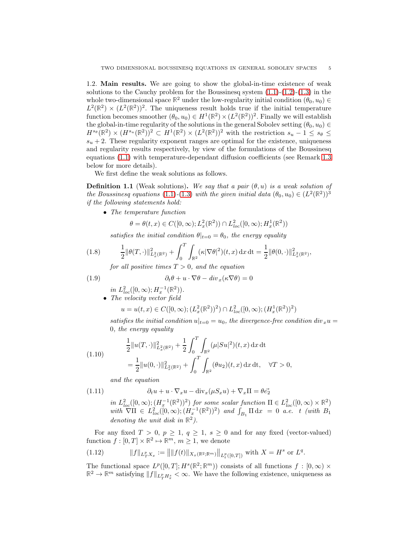1.2. Main results. We are going to show the global-in-time existence of weak solutions to the Cauchy problem for the Boussinesq system  $(1.1)-(1.2)-(1.3)$  $(1.1)-(1.2)-(1.3)$  $(1.1)-(1.2)-(1.3)$  $(1.1)-(1.2)-(1.3)$  in the whole two-dimensional space  $\mathbb{R}^2$  under the low-regularity initial condition  $(\theta_0, u_0) \in$  $L^2(\mathbb{R}^2) \times (L^2(\mathbb{R}^2))^2$ . The uniqueness result holds true if the initial temperature function becomes smoother  $(\theta_0, u_0) \in H^1(\mathbb{R}^2) \times (L^2(\mathbb{R}^2))^2$ . Finally we will establish the global-in-time regularity of the solutions in the general Sobolev setting  $(\theta_0, u_0) \in$  $H^{s_{\theta}}(\mathbb{R}^2) \times (H^{s_u}(\mathbb{R}^2))^2 \subset H^1(\mathbb{R}^2) \times (L^2(\mathbb{R}^2))^2$  with the restriction  $s_u - 1 \leq s_{\theta} \leq$  $s<sub>u</sub> + 2$ . These regularity exponent ranges are optimal for the existence, uniqueness and regularity results respectively, by view of the formulations of the Boussinesq equations [\(1.1\)](#page-0-0) with temperature-dependant diffusion coefficients (see Remark [1.3](#page-5-0) below for more details).

We first define the weak solutions as follows.

<span id="page-4-4"></span>**Definition 1.1** (Weak solutions). We say that a pair  $(\theta, u)$  is a weak solution of the Boussinesq equations [\(1.1\)](#page-0-0)-[\(1.3\)](#page-1-3) with the given initial data  $(\theta_0, u_0) \in (L^2(\mathbb{R}^2))^3$ if the following statements hold:

• The temperature function

$$
\theta = \theta(t, x) \in C([0, \infty); L_x^2(\mathbb{R}^2)) \cap L_{loc}^2([0, \infty); H_x^1(\mathbb{R}^2))
$$

<span id="page-4-0"></span>satisfies the initial condition  $\theta|_{t=0} = \theta_0$ , the energy equality

$$
(1.8) \qquad \frac{1}{2} \|\theta(T,\cdot)\|_{L_x^2(\mathbb{R}^2)}^2 + \int_0^T \int_{\mathbb{R}^2} (\kappa |\nabla \theta|^2)(t,x) \, \mathrm{d}x \, \mathrm{d}t = \frac{1}{2} \|\theta(0,\cdot)\|_{L_x^2(\mathbb{R}^2)}^2,
$$

for all positive times  $T > 0$ , and the equation

(1.9) 
$$
\partial_t \theta + u \cdot \nabla \theta - div_x(\kappa \nabla \theta) = 0
$$

 $in \ L^2_{loc}([0,\infty); H^{-1}_x(\mathbb{R}^2)).$ 

• The velocity vector field

$$
u = u(t, x) \in C([0, \infty); (L_x^2(\mathbb{R}^2))^2) \cap L_{loc}^2([0, \infty); (H_x^1(\mathbb{R}^2))^2)
$$

satisfies the initial condition  $u|_{t=0} = u_0$ , the divergence-free condition div<sub>x</sub>u = 0, the energy equality

<span id="page-4-1"></span>(1.10) 
$$
\frac{1}{2} ||u(T, \cdot)||_{L_x^2(\mathbb{R}^2)}^2 + \frac{1}{2} \int_0^T \int_{\mathbb{R}^2} (\mu |Su|^2)(t, x) dx dt
$$

$$
= \frac{1}{2} ||u(0, \cdot)||_{L_x^2(\mathbb{R}^2)}^2 + \int_0^T \int_{\mathbb{R}^2} (\theta u_2)(t, x) dx dt, \quad \forall T > 0,
$$

<span id="page-4-3"></span>and the equation

(1.11) 
$$
\partial_t u + u \cdot \nabla_x u - \text{div}_x(\mu S_x u) + \nabla_x \Pi = \theta \vec{e}_2
$$

in  $L^2_{loc}([0,\infty);(H^{-1}_x(\mathbb{R}^2))^2)$  for some scalar function  $\Pi \in L^2_{loc}([0,\infty) \times \mathbb{R}^2)$ with  $\nabla\Pi \in L^2_{loc}([0,\infty); (H_x^{-1}(\mathbb{R}^2))^2)$  and  $\int_{B_1} \Pi \,dx = 0$  a.e. t (with  $B_1$ ) denoting the unit disk in **R** 2 ).

For any fixed  $T > 0$ ,  $p \ge 1$ ,  $q \ge 1$ ,  $s \ge 0$  and for any fixed (vector-valued) function  $f : [0, T] \times \mathbb{R}^2 \mapsto \mathbb{R}^m$ ,  $m \ge 1$ , we denote

<span id="page-4-2"></span>(1.12) 
$$
||f||_{L^p_T X_x} := ||||f(t)||_{X_x(\mathbb{R}^2; \mathbb{R}^m)}||_{L^p_t([0,T])} \text{ with } X = H^s \text{ or } L^q.
$$

The functional space  $L^p([0,T]; H^s(\mathbb{R}^2; \mathbb{R}^m))$  consists of all functions  $f : [0, \infty) \times$  $\mathbb{R}^2 \to \mathbb{R}^m$  satisfying  $||f||_{L^p_T H^s_x} < \infty$ . We have the following existence, uniqueness as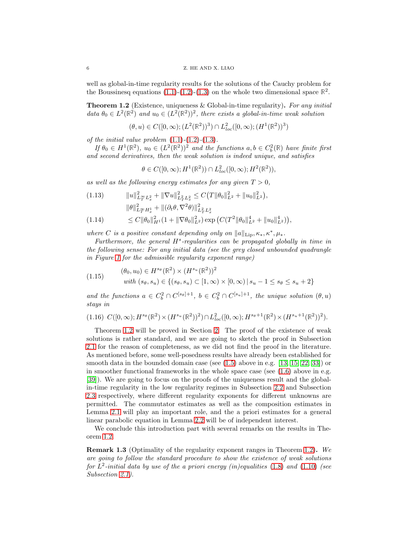well as global-in-time regularity results for the solutions of the Cauchy problem for the Boussinesq equations  $(1.1)-(1.2)-(1.3)$  $(1.1)-(1.2)-(1.3)$  $(1.1)-(1.2)-(1.3)$  $(1.1)-(1.2)-(1.3)$  on the whole two dimensional space  $\mathbb{R}^2$ .

<span id="page-5-1"></span>**Theorem 1.2** (Existence, uniqueness  $\&$  Global-in-time regularity). For any initial data  $\theta_0 \in L^2(\mathbb{R}^2)$  and  $u_0 \in (L^2(\mathbb{R}^2))^2$ , there exists a global-in-time weak solution

$$
(\theta, u) \in C([0, \infty); (L^2(\mathbb{R}^2))^3) \cap L^2_{loc}([0, \infty); (H^1(\mathbb{R}^2))^3)
$$

of the initial value problem  $(1.1)-(1.2)-(1.3)$  $(1.1)-(1.2)-(1.3)$  $(1.1)-(1.2)-(1.3)$  $(1.1)-(1.2)-(1.3)$  $(1.1)-(1.2)-(1.3)$ .

If  $\theta_0 \in H^1(\mathbb{R}^2)$ ,  $u_0 \in (L^2(\mathbb{R}^2))^2$  and the functions  $a, b \in C_b^2(\mathbb{R})$  have finite first and second derivatives, then the weak solution is indeed unique, and satisfies

$$
\theta \in C([0,\infty); H^1(\mathbb{R}^2)) \cap L^2_{loc}([0,\infty); H^2(\mathbb{R}^2)),
$$

as well as the following energy estimates for any given  $T > 0$ ,

<span id="page-5-5"></span>
$$
(1.13) \t\t ||u||_{L_T^{\infty} L_x^2}^2 + ||\nabla u||_{L_T^2 L_x^2}^2 \leq C(T ||\theta_0||_{L^2}^2 + ||u_0||_{L^2}^2),
$$
  

$$
||\theta||_{L_T^{\infty} H_x^1}^2 + ||(\partial_t \theta, \nabla^2 \theta)||_{L_T^2 L_x^2}^2
$$
  

$$
(1.14) \t\t \leq C ||\theta_0||_{H^1}^2 (1 + ||\nabla \theta_0||_{L^2}^2) \exp\left(C(T^2 ||\theta_0||_{L^2}^4 + ||u_0||_{L^2}^4)\right),
$$

<span id="page-5-2"></span>where C is a positive constant depending only on  $||a||_{\text{Lip}}, \kappa_*, \kappa^*, \mu_*$ .

Furthermore, the general  $H^s$ -regularities can be propagated globally in time in the following sense: For any initial data (see the grey closed unbounded quadrangle in Figure [1](#page-6-0) for the admissible regularity exponent range)

<span id="page-5-3"></span>(1.15) 
$$
(\theta_0, u_0) \in H^{s_{\theta}}(\mathbb{R}^2) \times (H^{s_u}(\mathbb{R}^2))^2 with (s_{\theta}, s_u) \in \{(s_{\theta}, s_u) \subset [1, \infty) \times [0, \infty) | s_u - 1 \le s_{\theta} \le s_u + 2\}
$$

and the functions  $a \in C_b^2 \cap C^{[s_\theta]+1}$ ,  $b \in C_b^2 \cap C^{[s_u]+1}$ , the unique solution  $(\theta, u)$ stays in

<span id="page-5-4"></span>
$$
(1.16)\ \ C([0,\infty);H^{s_{\theta}}(\mathbb{R}^2)\times (H^{s_u}(\mathbb{R}^2))^2)\cap L^2_{loc}([0,\infty);H^{s_{\theta}+1}(\mathbb{R}^2)\times (H^{s_u+1}(\mathbb{R}^2))^2).
$$

Theorem [1.2](#page-5-1) will be proved in Section [2.](#page-9-0) The proof of the existence of weak solutions is rather standard, and we are going to sketch the proof in Subsection [2.1](#page-9-1) for the reason of completeness, as we did not find the proof in the literature. As mentioned before, some well-posedness results have already been established for smooth data in the bounded domain case (see [\(1.5\)](#page-3-1) above in e.g. [\[13,](#page-24-16) [15,](#page-24-14) [22,](#page-24-17) [33\]](#page-24-18)) or in smoother functional frameworks in the whole space case (see  $(1.6)$ ) above in e.g. [\[39\]](#page-25-2)). We are going to focus on the proofs of the uniqueness result and the globalin-time regularity in the low regularity regimes in Subsection [2.2](#page-11-0) and Subsection [2.3](#page-15-0) respectively, where different regularity exponents for different unknowns are permitted. The commutator estimates as well as the composition estimates in Lemma [2.1](#page-16-0) will play an important role, and the a priori estimates for a general linear parabolic equation in Lemma [2.2](#page-16-1) will be of independent interest.

We conclude this introduction part with several remarks on the results in Theorem [1.2.](#page-5-1)

<span id="page-5-0"></span>Remark 1.3 (Optimality of the regularity exponent ranges in Theorem [1.2\)](#page-5-1). We are going to follow the standard procedure to show the existence of weak solutions for  $L^2$ -initial data by use of the a priori energy (in)equalities [\(1.8\)](#page-4-0) and [\(1.10\)](#page-4-1) (see Subsection [2.1\)](#page-9-1).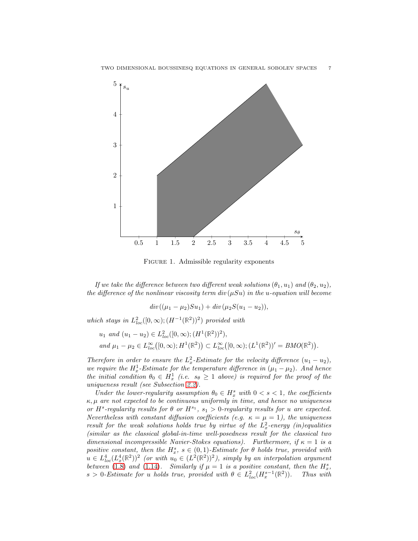

<span id="page-6-0"></span>FIGURE 1. Admissible regularity exponents

If we take the difference between two different weak solutions  $(\theta_1, u_1)$  and  $(\theta_2, u_2)$ , the difference of the nonlinear viscosity term div  $(\mu Su)$  in the u-equation will become

$$
div((\mu_1 - \mu_2)Su_1) + div(\mu_2 S(u_1 - u_2)),
$$

which stays in  $L^2_{loc}([0,\infty); (H^{-1}(\mathbb{R}^2))^2)$  provided with

$$
u_1 \text{ and } (u_1 - u_2) \in L^2_{loc}([0, \infty); (H^1(\mathbb{R}^2))^2),
$$
  
and 
$$
\mu_1 - \mu_2 \in L^{\infty}_{loc}([0, \infty); H^1(\mathbb{R}^2)) \subset L^{\infty}_{loc}([0, \infty); (L^1(\mathbb{R}^2))^{\prime} = BMO(\mathbb{R}^2)).
$$

Therefore in order to ensure the  $L_x^2$ -Estimate for the velocity difference  $(u_1 - u_2)$ , we require the  $H_x^1$ -Estimate for the temperature difference in  $(\mu_1 - \mu_2)$ . And hence the initial condition  $\theta_0 \in H_x^1$  (i.e.  $s_\theta \geq 1$  above) is required for the proof of the uniqueness result (see Subsection [2.2\)](#page-11-0).

Under the lower-regularity assumption  $\theta_0 \in H^s_x$  with  $0 < s < 1$ , the coefficients  $\kappa$ ,  $\mu$  are not expected to be continuous uniformly in time, and hence no uniqueness or  $H^s$ -regularity results for  $\theta$  or  $H^{s_1}$ ,  $s_1 > 0$ -regularity results for u are expected. Nevertheless with constant diffusion coefficients (e.g.  $\kappa = \mu = 1$ ), the uniqueness result for the weak solutions holds true by virtue of the  $L_x^2$ -energy (in)equalities (similar as the classical global-in-time well-posedness result for the classical two dimensional incompressible Navier-Stokes equations). Furthermore, if  $\kappa = 1$  is a positive constant, then the  $H_x^s$ ,  $s \in (0,1)$ -Estimate for  $\theta$  holds true, provided with  $u \in L^4_{loc}(L^4_x(\mathbb{R}^2))^2$  (or with  $u_0 \in (L^2(\mathbb{R}^2))^2$ ), simply by an interpolation argument between [\(1.8\)](#page-4-0) and [\(1.14\)](#page-5-2). Similarly if  $\mu = 1$  is a positive constant, then the  $H_x^s$ ,  $s > 0$ -Estimate for u holds true, provided with  $\theta \in L^2_{loc}(H^{s-1}_x(\mathbb{R}^2))$ )). Thus with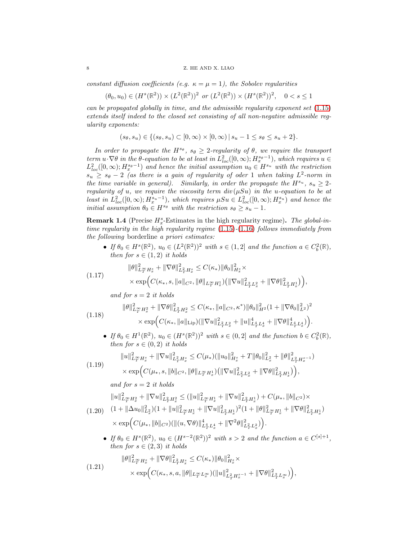## 8 Z. HE AND X. LIAO

constant diffusion coefficients (e.g.  $\kappa = \mu = 1$ ), the Sobolev regularities

$$
(\theta_0, u_0) \in (H^s(\mathbb{R}^2)) \times (L^2(\mathbb{R}^2))^2 \text{ or } (L^2(\mathbb{R}^2)) \times (H^s(\mathbb{R}^2))^2, \quad 0 < s \le 1
$$

can be propagated globally in time, and the admissible regularity exponent set [\(1.15\)](#page-5-3) extends itself indeed to the closed set consisting of all non-negative admissible regularity exponents:

$$
(s_{\theta}, s_u) \in \{ (s_{\theta}, s_u) \subset [0, \infty) \times [0, \infty) \mid s_u - 1 \le s_{\theta} \le s_u + 2 \}.
$$

In order to propagate the  $H^{s_{\theta}}$ ,  $s_{\theta} \geq 2$ -regularity of  $\theta$ , we require the transport term  $u \cdot \nabla \theta$  in the  $\theta$ -equation to be at least in  $L^2_{loc}([0,\infty); H^{s_{\theta}-1}_{x})$ , which requires  $u \in$  $L^2_{loc}([0,\infty); H^{s_0-1}_x)$  and hence the initial assumption  $u_0 \in H^{s_u}$  with the restriction  $s_u \geq s_{\theta} - 2$  (as there is a gain of regularity of oder 1 when taking  $L^2$ -norm in the time variable in general). Similarly, in order the propagate the  $H^{s_u}$ ,  $s_u \geq 2$ regularity of u, we require the viscosity term  $div(\mu Su)$  in the u-equation to be at least in  $L_{loc}^2([0,\infty); H_x^{s_u-1})$ , which requires  $\mu Su \in L_{loc}^2([0,\infty); H_x^{s_u})$  and hence the initial assumption  $\theta_0 \in H^{s_\theta}$  with the restriction  $s_\theta \geq s_u - 1$ .

<span id="page-7-4"></span>**Remark 1.4** (Precise  $H_x^s$ -Estimates in the high regularity regime). The global-intime regularity in the high regularity regime  $(1.15)-(1.16)$  $(1.15)-(1.16)$  $(1.15)-(1.16)$  follows immediately from the following borderline a priori estimates:

• If  $\theta_0 \in H^s(\mathbb{R}^2)$ ,  $u_0 \in (L^2(\mathbb{R}^2))^2$  with  $s \in (1,2]$  and the function  $a \in C_b^2(\mathbb{R})$ , then for  $s \in (1,2)$  it holds

$$
(1.17) \qquad \|\theta\|_{L^{\infty}_T H^s_x}^2 + \|\nabla\theta\|_{L^2_T H^s_x}^2 \leq C(\kappa_*) \|\theta_0\|_{H^s_x}^2 \times \\ \times \exp\Big(C(\kappa_*, s, \|a\|_{C^2}, \|\theta\|_{L^{\infty}_T H^1_x}) \big(\|\nabla u\|_{L^2_T L^2_x}^2 + \|\nabla\theta\|_{L^2_T H^1_x}^2\big)\Big),
$$

<span id="page-7-3"></span><span id="page-7-1"></span>and for  $s = 2$  it holds

$$
(1.18) \qquad \|\theta\|_{L^{\infty}_T H^2_x}^2 + \|\nabla\theta\|_{L^2_T H^2_x}^2 \leq C(\kappa_*, \|a\|_{C^2}, \kappa^*) \|\theta_0\|_{H^2}^2 (1 + \|\nabla\theta_0\|_{L^2}^2)^2
$$
  

$$
\times \exp\Big(C(\kappa_*, \|a\|_{\mathrm{Lip}}) (\|\nabla u\|_{L^2_T L^2_x}^2 + \|u\|_{L^4_T L^4_x}^4 + \|\nabla\theta\|_{L^4_T L^4_x}^4)\Big).
$$

• If  $\theta_0 \in H^1(\mathbb{R}^2)$ ,  $u_0 \in (H^s(\mathbb{R}^2))^2$  with  $s \in (0, 2]$  and the function  $b \in C_b^2(\mathbb{R})$ , then for  $s \in (0, 2)$  it holds

$$
(1.19) \qquad \begin{aligned} \|u\|_{L_T^{\infty} H_x^s}^2 + \|\nabla u\|_{L_T^2 H_x^s}^2 &\leq C(\mu_*) (\|u_0\|_{H_x^s}^2 + T \|\theta_0\|_{L_x^2}^2 + \|\theta\|_{L_T^2 H_x^{s-1}}^2) \\ &\times \exp\Bigl(C(\mu_*, s, \|b\|_{C^2}, \|\theta\|_{L_T^{\infty} H_x^1}) \Bigl(\|\nabla u\|_{L_T^2 L_x^2}^2 + \|\nabla \theta\|_{L_T^2 H_x^1}^2\Bigr)\Bigr), \end{aligned}
$$

<span id="page-7-5"></span>and for  $s = 2$  it holds

<span id="page-7-2"></span>
$$
\|u\|_{L_T^\infty H_x^2}^2 + \|\nabla u\|_{L_T^2 H_x^2}^2 \le (\|u\|_{L_T^\infty H_x^1}^2 + \|\nabla u\|_{L_T^2 H_x^1}^2) + C(\mu_*, \|b\|_{C^2}) \times
$$
  
(1.20) 
$$
(1 + \|\Delta u_0\|_{L_x^2}^2)(1 + \|u\|_{L_T^\infty H_x^1}^2 + \|\nabla u\|_{L_T^2 H_x^1}^2)^2(1 + \|\theta\|_{L_T^\infty H_x^1}^2 + \|\nabla \theta\|_{L_T^2 H_x^1}^2)
$$

$$
\times \exp\Big(C(\mu_*, \|b\|_{C^2})(\|(u, \nabla \theta)\|_{L_T^4 L_x^4}^4 + \|\nabla^2 \theta\|_{L_T^2 L_x^2}^2)\Big).
$$

• If  $\theta_0 \in H^s(\mathbb{R}^2)$ ,  $u_0 \in (H^{s-2}(\mathbb{R}^2))^2$  with  $s > 2$  and the function  $a \in C^{[s]+1}$ , then for  $s \in (2,3)$  it holds

<span id="page-7-0"></span>
$$
(1.21) \qquad \|\theta\|_{L^{\infty}_T H^s_x}^2 + \|\nabla\theta\|_{L^2_T H^s_x}^2 \leq C(\kappa_*) \|\theta_0\|_{H^s_x}^2 \times \times \exp\Big(C(\kappa_*, s, a, \|\theta\|_{L^{\infty}_T L^{\infty}_x}) (\|u\|_{L^2_T H^{s-1}_x}^2 + \|\nabla\theta\|_{L^2_T L^{\infty}_x}^2)\Big),
$$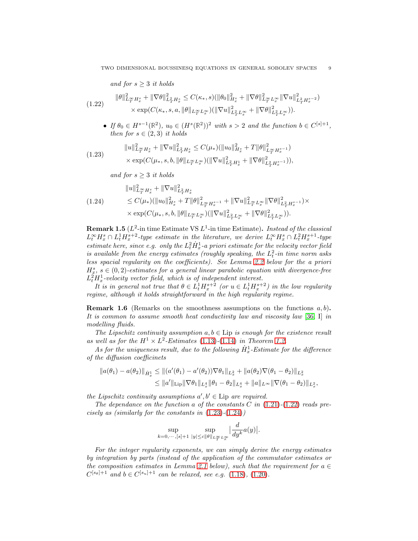and for  $s \geq 3$  it holds

<span id="page-8-0"></span>
$$
(1.22) \qquad \|\theta\|_{L_T^\infty H_x^s}^2 + \|\nabla\theta\|_{L_T^2 H_x^s}^2 \leq C(\kappa_*, s) (\|\theta_0\|_{H_x^s}^2 + \|\nabla\theta\|_{L_T^\infty L_x^\infty}^2 \|\nabla u\|_{L_T^2 H_x^{s-2}}^2) \times \exp(C(\kappa_*, s, a, \|\theta\|_{L_T^\infty L_x^\infty}) (\|\nabla u\|_{L_T^2 L_x^\infty}^2 + \|\nabla\theta\|_{L_T^2 L_x^\infty}^2)).
$$

• If  $\theta_0 \in H^{s-1}(\mathbb{R}^2)$ ,  $u_0 \in (H^s(\mathbb{R}^2))^2$  with  $s > 2$  and the function  $b \in C^{[s]+1}$ , then for  $s \in (2, 3)$  it holds

<span id="page-8-1"></span>
$$
(1.23) \qquad \begin{aligned} \|u\|_{L_T^\infty H_x^s}^2 + \|\nabla u\|_{L_T^2 H_x^s}^2 &\leq C(\mu_*) (\|u_0\|_{H_x^s}^2 + T\|\theta\|_{L_T^\infty H_x^{s-1}}^2) \\ &\times \exp(C(\mu_*, s, b, \|\theta\|_{L_T^\infty L_x^\infty})(\|\nabla u\|_{L_T^2 H_x^1}^2 + \|\nabla \theta\|_{L_T^2 H_x^{s-1}}^2)), \end{aligned}
$$

and for  $s \geq 3$  it holds

<span id="page-8-2"></span>
$$
\|u\|_{L^{\infty}_{T} H^{s}_{x}}^{2} + \|\nabla u\|_{L^{2}_{T} H^{s}_{x}}^{2}
$$
\n
$$
\leq C(\mu_{*})(\|u_{0}\|_{H^{s}_{x}}^{2} + T\|\theta\|_{L^{\infty}_{T} H^{s-1}_{x}}^{2} + \|\nabla u\|_{L^{\infty}_{T} L^{\infty}_{x}}^{2} \|\nabla \theta\|_{L^{2}_{T} H^{s-1}_{x}}^{2}) \times \exp(C(\mu_{*}, s, b, \|\theta\|_{L^{\infty}_{T} L^{\infty}_{x}}) (\|\nabla u\|_{L^{2}_{T} L^{\infty}_{x}}^{2} + \|\nabla \theta\|_{L^{2}_{T} L^{\infty}_{x}}^{2})).
$$

**Remark 1.5** ( $L^2$ -in time Estimate VS  $L^1$ -in time Estimate). Instead of the classical  $L_t^{\infty}H_x^s \cap L_t^1H_x^{s+2}$ -type estimate in the literature, we derive  $L_t^{\infty}H_x^s \cap L_t^2H_x^{s+1}$ -type estimate here, since e.g. only the  $L_t^2 \dot{H}_x^1$ -a priori estimate for the velocity vector field is available from the energy estimates (roughly speaking, the  $L_t^2$ -in time norm asks less spacial regularity on the coefficients). See Lemma [2.2](#page-16-1) below for the a priori  $H^s_x$ ,  $s \in (0, 2)$ -estimates for a general linear parabolic equation with divergence-free  $L_t^2 H_x^1$ -velocity vector field, which is of independent interest.

It is in general not true that  $\theta \in L_t^1 H_x^{s+2}$  (or  $u \in L_t^1 H_x^{s+2}$ ) in the low regularity regime, although it holds straightforward in the high regularity regime.

**Remark 1.6** (Remarks on the smoothness assumptions on the functions  $a, b$ ). It is common to assume smooth heat conductivity law and viscosity law [\[36,](#page-24-4) I] in modelling fluids.

The Lipschitz continuity assumption  $a, b \in$  Lip is enough for the existence result as well as for the  $H^1 \times L^2$ -Estimates [\(1.13\)](#page-5-5)-[\(1.14\)](#page-5-2) in Theorem [1.2.](#page-5-1)

As for the uniqueness result, due to the following  $\dot{H}_x^1$ -Estimate for the difference of the diffusion coefficinets

$$
\|a(\theta_1) - a(\theta_2)\|_{\dot{H}_x^1} \leq \| (a'(\theta_1) - a'(\theta_2))\nabla \theta_1 \|_{L_x^2} + \|a(\theta_2)\nabla (\theta_1 - \theta_2)\|_{L_x^2}
$$
  

$$
\leq \|a'\|_{\text{Lip}} \|\nabla \theta_1\|_{L_x^4} \|\theta_1 - \theta_2\|_{L_x^4} + \|a\|_{L^\infty} \|\nabla (\theta_1 - \theta_2)\|_{L_x^2},
$$

the Lipschitz continuity assumptions  $a', b' \in \text{Lip}$  are required.

The dependance on the function a of the constants C in  $(1.21)-(1.22)$  $(1.21)-(1.22)$  $(1.21)-(1.22)$  reads precisely as (similarly for the constants in  $(1.23)-(1.24)$  $(1.23)-(1.24)$  $(1.23)-(1.24)$ )

$$
\sup_{k=0,\cdots,[s]+1} \sup_{|y|\le c\|\theta\|_{L^\infty_T L^\infty_x}} \Big| \frac{d}{dy^k} a(y) \Big|.
$$

For the integer regularity exponents, we can simply derive the energy estimates by integration by parts (instead of the application of the commutator estimates or the composition estimates in Lemma [2.1](#page-16-0) below), such that the requirement for  $a \in$  $C^{[s_{\theta}]+1}$  and  $b \in C^{[s_u]+1}$  can be relaxed, see e.g. [\(1.18\)](#page-7-1), [\(1.20\)](#page-7-2).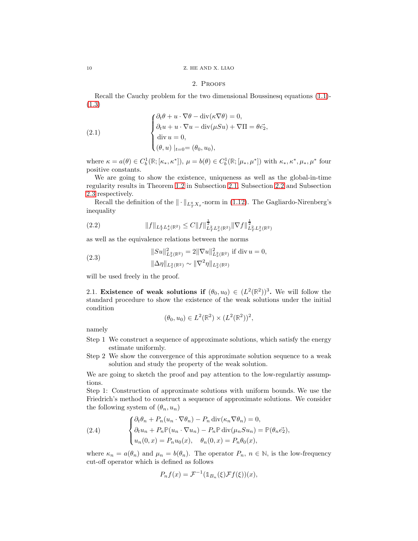## <span id="page-9-3"></span>2. Proofs

Recall the Cauchy problem for the two dimensional Boussinesq equations [\(1.1\)](#page-0-0)- [\(1.3\)](#page-1-3)

(2.1) 
$$
\begin{cases} \partial_t \theta + u \cdot \nabla \theta - \text{div}(\kappa \nabla \theta) = 0, \\ \partial_t u + u \cdot \nabla u - \text{div}(\mu S u) + \nabla \Pi = \theta \vec{e_2}, \\ \text{div } u = 0, \\ (\theta, u) \mid_{t=0} = (\theta_0, u_0), \end{cases}
$$

where  $\kappa = a(\theta) \in C_b^1(\mathbb{R}; [\kappa_*, \kappa^*]), \mu = b(\theta) \in C_b^1(\mathbb{R}; [\mu_*, \mu^*])$  with  $\kappa_*, \kappa^*, \mu_*, \mu^*$  four positive constants.

We are going to show the existence, uniqueness as well as the global-in-time regularity results in Theorem [1.2](#page-5-1) in Subsection [2.1,](#page-9-1) Subsection [2.2](#page-11-0) and Subsection [2.3](#page-15-0) respectively.

Recall the definition of the  $\|\cdot\|_{L^q_T X_x}$ -norm in [\(1.12\)](#page-4-2). The Gagliardo-Nirenberg's inequality

<span id="page-9-4"></span>(2.2) 
$$
||f||_{L_T^4 L_x^4(\mathbb{R}^2)} \leq C||f||_{L_T^2 L_x^2(\mathbb{R}^2)}^{\frac{1}{2}}||\nabla f||_{L_T^2 L_x^2(\mathbb{R}^2)}^{\frac{1}{2}}
$$

as well as the equivalence relations between the norms

(2.3) 
$$
\|Su\|_{L_x^2(\mathbb{R}^2)}^2 = 2\|\nabla u\|_{L_x^2(\mathbb{R}^2)}^2 \text{ if div } u = 0,
$$

$$
\|\Delta \eta\|_{L_x^2(\mathbb{R}^2)} \sim \|\nabla^2 \eta\|_{L_x^2(\mathbb{R}^2)}
$$

will be used freely in the proof.

<span id="page-9-1"></span>2.1. **Existence of weak solutions if**  $(\theta_0, u_0) \in (L^2(\mathbb{R}^2))^3$ . We will follow the standard procedure to show the existence of the weak solutions under the initial condition

$$
(\theta_0, u_0) \in L^2(\mathbb{R}^2) \times (L^2(\mathbb{R}^2))^2
$$
,

namely

- Step 1 We construct a sequence of approximate solutions, which satisfy the energy estimate uniformly.
- Step 2 We show the convergence of this approximate solution sequence to a weak solution and study the property of the weak solution.

We are going to sketch the proof and pay attention to the low-regulartiy assumptions.

Step 1: Construction of approximate solutions with uniform bounds. We use the Friedrich's method to construct a sequence of approximate solutions. We consider the following system of  $(\theta_n, u_n)$ 

<span id="page-9-2"></span>(2.4) 
$$
\begin{cases} \partial_t \theta_n + P_n(u_n \cdot \nabla \theta_n) - P_n \operatorname{div}(\kappa_n \nabla \theta_n) = 0, \\ \partial_t u_n + P_n \mathbb{P}(u_n \cdot \nabla u_n) - P_n \mathbb{P} \operatorname{div}(\mu_n S u_n) = \mathbb{P}(\theta_n \vec{e_2}), \\ u_n(0, x) = P_n u_0(x), \quad \theta_n(0, x) = P_n \theta_0(x), \end{cases}
$$

where  $\kappa_n = a(\theta_n)$  and  $\mu_n = b(\theta_n)$ . The operator  $P_n$ ,  $n \in \mathbb{N}$ , is the low-frequency cut-off operator which is defined as follows

$$
P_n f(x) = \mathcal{F}^{-1}(\mathbb{1}_{B_n}(\xi)\mathcal{F}f(\xi))(x),
$$

<span id="page-9-0"></span>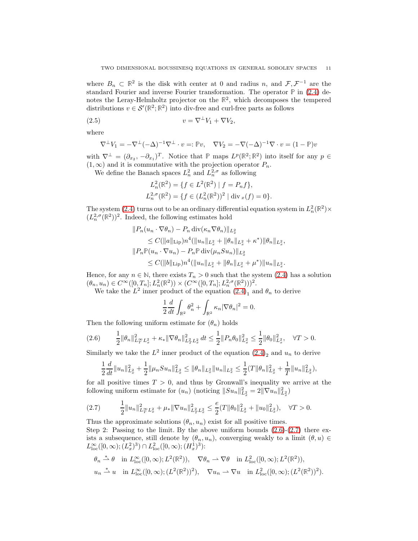where  $B_n \subset \mathbb{R}^2$  is the disk with center at 0 and radius n, and  $\mathcal{F}, \mathcal{F}^{-1}$  are the standard Fourier and inverse Fourier transformation. The operator **P** in [\(2.4\)](#page-9-2) denotes the Leray-Helmholtz projector on the **R** 2 , which decomposes the tempered distributions  $v \in \mathcal{S}'(\mathbb{R}^2; \mathbb{R}^2)$  into div-free and curl-free parts as follows

$$
(2.5) \t\t v = \nabla^{\perp} V_1 + \nabla V_2,
$$

where

$$
\nabla^{\perp} V_1 = -\nabla^{\perp} (-\Delta)^{-1} \nabla^{\perp} \cdot v =: \mathbb{P}v, \quad \nabla V_2 = -\nabla (-\Delta)^{-1} \nabla \cdot v = (1 - \mathbb{P})v
$$

with  $\nabla^{\perp} = (\partial_{x_2}, -\partial_{x_1})^T$ . Notice that  $\mathbb P$  maps  $L^p(\mathbb R^2; \mathbb R^2)$  into itself for any  $p \in$  $(1, \infty)$  and it is commutative with the projection operator  $P_n$ .

We define the Banach spaces  $L_n^2$  and  $L_n^{2,\sigma}$  as following

<span id="page-10-2"></span>
$$
L_n^2(\mathbb{R}^2) = \{ f \in L^2(\mathbb{R}^2) \mid f = P_n f \},
$$
  

$$
L_n^{2,\sigma}(\mathbb{R}^2) = \{ f \in (L_n^2(\mathbb{R}^2))^2 \mid \text{div}_x(f) = 0 \}.
$$

The system  $(2.4)$  turns out to be an ordinary differential equation system in  $L_n^2(\mathbb{R}^2) \times$  $(L_n^{2,\sigma}(\mathbb{R}^2))^2$ . Indeed, the following estimates hold

$$
||P_n(u_n \cdot \nabla \theta_n) - P_n \operatorname{div}(\kappa_n \nabla \theta_n)||_{L_x^2}
$$
  
\n
$$
\leq C(||a||_{\operatorname{Lip}})n^4(||u_n||_{L_x^2} + ||\theta_n||_{L_x^2} + \kappa^*)||\theta_n||_{L_x^2},
$$
  
\n
$$
||P_n \mathbb{P}(u_n \cdot \nabla u_n) - P_n \mathbb{P} \operatorname{div}(\mu_n S u_n)||_{L_x^2}
$$
  
\n
$$
\leq C(||b||_{\operatorname{Lip}})n^4(||u_n||_{L_x^2} + ||\theta_n||_{L_x^2} + \mu^*)||u_n||_{L_x^2}.
$$

Hence, for any  $n \in \mathbb{N}$ , there exists  $T_n > 0$  such that the system [\(2.4\)](#page-9-2) has a solution  $(\theta_n, u_n) \in C^{\infty}([0, T_n]; L^2_n(\mathbb{R}^2)) \times (C^{\infty}([0, T_n]; L^{2, \sigma}_n(\mathbb{R}^2)))^2.$ 

We take the  $L^2$  inner product of the equation  $(2.4)$ <sub>1</sub> and  $\theta_n$  to derive

$$
\frac{1}{2}\frac{d}{dt}\int_{\mathbb{R}^2} \theta_n^2 + \int_{\mathbb{R}^2} \kappa_n |\nabla \theta_n|^2 = 0.
$$

Then the following uniform estimate for  $(\theta_n)$  holds

<span id="page-10-0"></span>
$$
(2.6) \qquad \frac{1}{2} \|\theta_n\|_{L_T^{\infty} L_x^2}^2 + \kappa_* \|\nabla \theta_n\|_{L_T^2 L_x^2}^2 dt \le \frac{1}{2} \|P_n \theta_0\|_{L_x^2}^2 \le \frac{1}{2} \|\theta_0\|_{L_x^2}^2, \quad \forall T > 0.
$$

Similarly we take the  $L^2$  inner product of the equation  $(2.4)_2$  and  $u_n$  to derive

$$
\frac{1}{2}\frac{d}{dt}\|u_n\|_{L_x^2}^2 + \frac{1}{2}\|\mu_n Su_n\|_{L_x^2}^2 \le \|\theta_n\|_{L_x^2} \|u_n\|_{L_x^2} \le \frac{1}{2}(T\|\theta_n\|_{L_x^2}^2 + \frac{1}{T}\|u_n\|_{L_x^2}^2),
$$

for all positive times  $T > 0$ , and thus by Gronwall's inequality we arrive at the following uniform estimate for  $(u_n)$  (noticing  $||Su_n||_{L_x^2}^2 = 2||\nabla u_n||_{L_x^2}^2$ )

<span id="page-10-1"></span>
$$
(2.7) \qquad \frac{1}{2}||u_n||_{L_T^{\infty}L_x^2}^2 + \mu_*||\nabla u_n||_{L_T^2L_x^2}^2 \le \frac{e}{2}(T||\theta_0||_{L_x^2}^2 + ||u_0||_{L_x^2}^2), \quad \forall T > 0.
$$

Thus the approximate solutions  $(\theta_n, u_n)$  exist for all positive times.

Step 2: Passing to the limit. By the above uniform bounds  $(2.6)-(2.7)$  $(2.6)-(2.7)$  there exists a subsequence, still denote by  $(\theta_n, u_n)$ , converging weakly to a limit  $(\theta, u) \in$  $L^{\infty}_{\text{loc}}([0,\infty);(L^{2}_{x})^{3}) \cap L^{2}_{\text{loc}}([0,\infty);(H^{1}_{x})^{3})$ :

$$
\theta_n \stackrel{*}{\rightharpoonup} \theta \quad \text{in } L^{\infty}_{\text{loc}}([0,\infty); L^2(\mathbb{R}^2)), \quad \nabla \theta_n \rightharpoonup \nabla \theta \quad \text{in } L^2_{\text{loc}}([0,\infty); L^2(\mathbb{R}^2)),
$$
  

$$
u_n \stackrel{*}{\rightharpoonup} u \quad \text{in } L^{\infty}_{\text{loc}}([0,\infty); (L^2(\mathbb{R}^2))^2), \quad \nabla u_n \rightharpoonup \nabla u \quad \text{in } L^2_{\text{loc}}([0,\infty); (L^2(\mathbb{R}^2))^2).
$$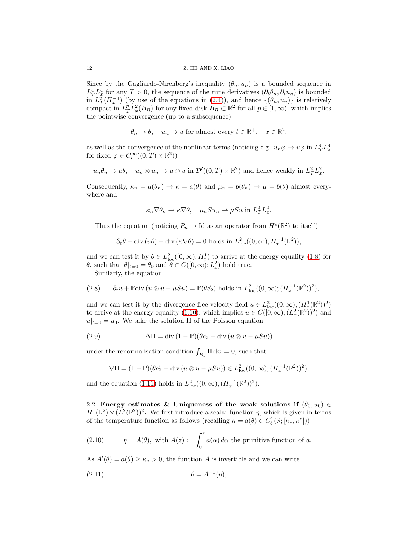Since by the Gagliardo-Nirenberg's inequality  $(\theta_n, u_n)$  is a bounded sequence in  $L_T^4 L_x^4$  for any  $T > 0$ , the sequence of the time derivatives  $(\partial_t \theta_n, \partial_t u_n)$  is bounded in  $L^2_T(H^{-1}_x)$  (by use of the equations in [\(2.4\)](#page-9-2)), and hence  $\{(\theta_n, u_n)\}\$ is relatively compact in  $L_T^p L_x^2(B_R)$  for any fixed disk  $B_R \subset \mathbb{R}^2$  for all  $p \in [1,\infty)$ , which implies the pointwise convergence (up to a subsequence)

$$
\theta_n \to \theta
$$
,  $u_n \to u$  for almost every  $t \in \mathbb{R}^+$ ,  $x \in \mathbb{R}^2$ ,

as well as the convergence of the nonlinear terms (noticing e.g.  $u_n \varphi \to u\varphi$  in  $L_T^4 L_x^4$ for fixed  $\varphi \in C_c^{\infty}((0,T) \times \mathbb{R}^2)$ 

$$
u_n \theta_n \to u\theta
$$
,  $u_n \otimes u_n \to u \otimes u$  in  $\mathcal{D}'((0,T) \times \mathbb{R}^2)$  and hence weakly in  $L_T^2 L_x^2$ .

Consequently,  $\kappa_n = a(\theta_n) \to \kappa = a(\theta)$  and  $\mu_n = b(\theta_n) \to \mu = b(\theta)$  almost everywhere and

$$
\kappa_n \nabla \theta_n \rightharpoonup \kappa \nabla \theta, \quad \mu_n S u_n \rightharpoonup \mu S u \text{ in } L^2_T L^2_x.
$$

Thus the equation (noticing  $P_n \to \text{Id}$  as an operator from  $H^s(\mathbb{R}^2)$  to itself)

$$
\partial_t \theta + \text{div} \left( u \theta \right) - \text{div} \left( \kappa \nabla \theta \right) = 0 \text{ holds in } L^2_{\text{loc}}((0, \infty); H_x^{-1}(\mathbb{R}^2)),
$$

and we can test it by  $\theta \in L^2_{loc}([0,\infty); H^1_x)$  to arrive at the energy equality [\(1.8\)](#page-4-0) for  $\theta$ , such that  $\theta|_{t=0} = \theta_0$  and  $\theta \in C([0,\infty); L_x^2)$  hold true.

Similarly, the equation

(2.8) 
$$
\partial_t u + \mathbb{P} \text{div} \left( u \otimes u - \mu S u \right) = \mathbb{P}(\theta \vec{e}_2) \text{ holds in } L^2_{\text{loc}}((0, \infty); (H_x^{-1}(\mathbb{R}^2))^2),
$$

and we can test it by the divergence-free velocity field  $u \in L^2_{loc}((0,\infty);(H^1_x(\mathbb{R}^2))^2)$ to arrive at the energy equality [\(1.10\)](#page-4-1), which implies  $u \in C([0,\infty); (L_x^2(\mathbb{R}^2))^2)$  and  $u|_{t=0} = u_0$ . We take the solution  $\Pi$  of the Poisson equation

(2.9) 
$$
\Delta \Pi = \text{div} (1 - \mathbb{P})(\theta \vec{e}_2 - \text{div} (u \otimes u - \mu S u))
$$

under the renormalisation condition  $\int_{B_1} \Pi \, dx = 0$ , such that

$$
\nabla\Pi = (1 - \mathbb{P})(\theta\vec{e}_2 - \text{div}\,(u\otimes u - \mu Su)) \in L^2_{\text{loc}}((0,\infty);(H_x^{-1}(\mathbb{R}^2))^2),
$$

and the equation [\(1.11\)](#page-4-3) holds in  $L^2_{\text{loc}}((0,\infty); (H_x^{-1}(\mathbb{R}^2))^2)$ .

<span id="page-11-0"></span>2.2. Energy estimates & Uniqueness of the weak solutions if  $(\theta_0, u_0) \in$  $H^1(\mathbb{R}^2) \times (L^2(\mathbb{R}^2))^2$ . We first introduce a scalar function  $\eta$ , which is given in terms of the temperature function as follows (recalling  $\kappa = a(\theta) \in C_b^1(\mathbb{R}; [\kappa_*, \kappa^*]))$ 

<span id="page-11-1"></span>(2.10) 
$$
\eta = A(\theta), \text{ with } A(z) := \int_0^z a(\alpha) d\alpha \text{ the primitive function of } a.
$$

As  $A'(\theta) = a(\theta) \ge \kappa_* > 0$ , the function A is invertible and we can write

<span id="page-11-2"></span>
$$
\theta = A^{-1}(\eta),
$$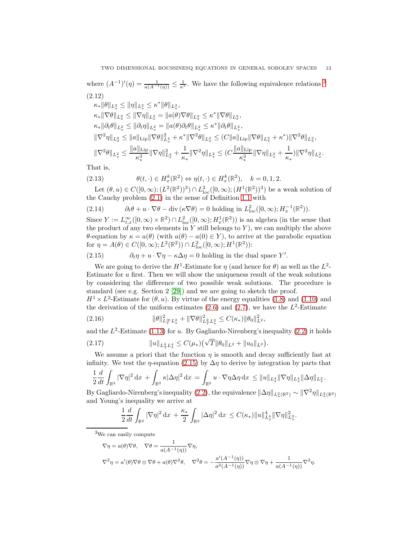where  $(A^{-1})'(\eta) = \frac{1}{a(A^{-1}(\eta))} \leq \frac{1}{\kappa^*}$ . We have the following equivalence relations <sup>[3](#page-12-0)</sup> (2.12)

<span id="page-12-2"></span>
$$
\label{eq:22} \begin{split} &\kappa_*\|\theta\|_{L_x^2}\leq \|\eta\|_{L_x^2}\leq \kappa^*\|\theta\|_{L_x^2},\\ &\kappa_*\|\nabla\theta\|_{L_x^2}\leq \|\nabla\eta\|_{L_x^2}=\|a(\theta)\nabla\theta\|_{L_x^2}\leq \kappa^*\|\nabla\theta\|_{L_x^2},\\ &\kappa_*\|\partial_t\theta\|_{L_x^2}\leq \|\partial_t\eta\|_{L_x^2}=\|a(\theta)\partial_t\theta\|_{L_x^2}\leq \kappa^*\|\partial_t\theta\|_{L_x^2},\\ &\|\nabla^2\eta\|_{L_x^2}\leq \|a\|_{\mathrm{Lip}}\|\nabla\theta\|_{L_x^4}^2+\kappa^*\|\nabla^2\theta\|_{L_x^2}\leq (C\|a\|_{\mathrm{Lip}}\|\nabla\theta\|_{L_x^2}+\kappa^*)\|\nabla^2\theta\|_{L_x^2},\\ &\|\nabla^2\theta\|_{L_x^2}\leq \frac{\|a\|_{\mathrm{Lip}}}{\kappa_*^3}\|\nabla\eta\|_{L_x^4}+\frac{1}{\kappa_*}\|\nabla^2\eta\|_{L_x^2}\leq (C\frac{\|a\|_{\mathrm{Lip}}}{\kappa_*^3}\|\nabla\eta\|_{L_x^2}+\frac{1}{\kappa_*})\|\nabla^2\eta\|_{L_x^2}. \end{split}
$$

That is,  $(2.13)$ 

<span id="page-12-5"></span>
$$
\theta(t, \cdot) \in H_x^k(\mathbb{R}^2) \Leftrightarrow \eta(t, \cdot) \in H_x^k(\mathbb{R}^2), \quad k = 0, 1, 2.
$$

Let  $(\theta, u) \in C([0, \infty); (L^2(\mathbb{R}^2))^3) \cap L^2_{loc}([0, \infty); (H^1(\mathbb{R}^2))^3)$  be a weak solution of the Cauchy problem [\(2.1\)](#page-9-3) in the sense of Definition [1.1](#page-4-4) with

(2.14) 
$$
\partial_t \theta + u \cdot \nabla \theta - \text{div}(\kappa \nabla \theta) = 0 \text{ holding in } L^2_{\text{loc}}([0, \infty); H_x^{-1}(\mathbb{R}^2)).
$$

Since  $Y := L_{t,x}^{\infty}([0,\infty) \times \mathbb{R}^2) \cap L_{\text{loc}}^2([0,\infty); H_x^1(\mathbb{R}^2))$  is an algebra (in the sense that the product of any two elements in  $Y$  still belongs to  $Y$ ), we can multiply the above θ-equation by  $κ = a(θ)$  (with  $a(θ) - a(0) ∈ Y$ ), to arrive at the parabolic equation for  $\eta = A(\theta) \in C([0,\infty); L^2(\mathbb{R}^2)) \cap L^2_{\text{loc}}([0,\infty); H^1(\mathbb{R}^2))$ :

<span id="page-12-1"></span>(2.15) 
$$
\partial_t \eta + u \cdot \nabla \eta - \kappa \Delta \eta = 0 \text{ holding in the dual space } Y'.
$$

We are going to derive the  $H^1$ -Estimate for  $\eta$  (and hence for  $\theta$ ) as well as the  $L^2$ -Estimate for  $u$  first. Then we will show the uniqueness result of the weak solutions by considering the difference of two possible weak solutions. The procedure is standard (see e.g. Section 2 [\[29\]](#page-24-22)) and we are going to sketch the proof.

 $H^1 \times L^2$ -Estimate for  $(\theta, u)$ . By virtue of the energy equalities [\(1.8\)](#page-4-0) and [\(1.10\)](#page-4-1) and the derivation of the uniform estimates  $(2.6)$  and  $(2.7)$ , we have the  $L^2$ -Estimate

<span id="page-12-3"></span>(2.16) 
$$
\|\theta\|_{L^{\infty}_T L^2_x}^2 + \|\nabla \theta\|_{L^2_T L^2_x}^2 \leq C(\kappa_*) \|\theta_0\|_{L^2}^2,
$$

and the  $L^2$ -Estimate [\(1.13\)](#page-5-5) for u. By Gagliardo-Nirenberg's inequality [\(2.2\)](#page-9-4) it holds

<span id="page-12-4"></span>(2.17) 
$$
||u||_{L_T^4 L_x^4} \leq C(\mu_*) \left(\sqrt{T} ||\theta_0||_{L^2} + ||u_0||_{L^2}\right).
$$

We assume a priori that the function  $\eta$  is smooth and decay sufficiently fast at infinity. We test the  $\eta$ -equation [\(2.15\)](#page-12-1) by  $\Delta \eta$  to derive by integration by parts that

$$
\frac{1}{2}\frac{d}{dt}\int_{\mathbb{R}^2}|\nabla\eta|^2\,\mathrm{d} x\,+\int_{\mathbb{R}^2}\kappa|\Delta\eta|^2\,\mathrm{d} x\,=\int_{\mathbb{R}^2}u\cdot\nabla\eta\Delta\eta\,\mathrm{d} x\,\leq \|u\|_{L^4_x}\|\nabla\eta\|_{L^4_x}\|\Delta\eta\|_{L^2_x}.
$$

By Gagliardo-Nirenberg's inequality [\(2.2\)](#page-9-4), the equivalence  $\|\Delta \eta\|_{L_x^2(\mathbb{R}^2)} \sim \|\nabla^2 \eta\|_{L_x^2(\mathbb{R}^2)}$ and Young's inequality we arrive at

$$
\frac{1}{2}\frac{d}{dt}\int_{\mathbb{R}^2}|\nabla \eta|^2\,\mathrm{d}x + \frac{\kappa_*}{2}\int_{\mathbb{R}^2}|\Delta \eta|^2\,\mathrm{d}x \leq C(\kappa_*)\|u\|_{L_x^4}^4\|\nabla \eta\|_{L_x^2}^2.
$$

<sup>3</sup>We can easily compute

<span id="page-12-0"></span>
$$
\nabla \eta = a(\theta) \nabla \theta, \quad \nabla \theta = \frac{1}{a(A^{-1}(\eta))} \nabla \eta,
$$
  

$$
\nabla^2 \eta = a'(\theta) \nabla \theta \otimes \nabla \theta + a(\theta) \nabla^2 \theta, \quad \nabla^2 \theta = -\frac{a'(A^{-1}(\eta))}{a^3(A^{-1}(\eta))} \nabla \eta \otimes \nabla \eta + \frac{1}{a(A^{-1}(\eta))} \nabla^2 \eta.
$$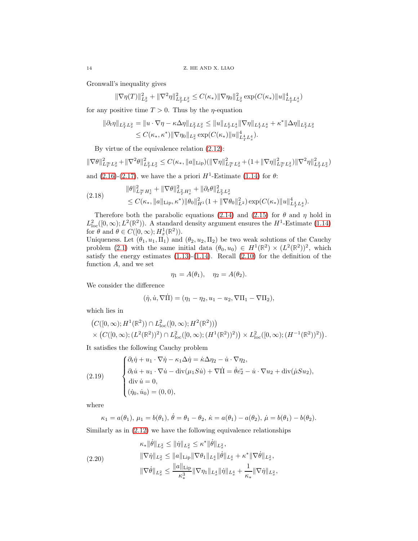Gronwall's inequality gives

$$
\|\nabla \eta(T)\|_{L^2_x}^2+\|\nabla^2 \eta\|_{L^2_TL^2_x}^2\leq C(\kappa_*)\|\nabla \eta_0\|_{L^2_x}^2\exp(C(\kappa_*)\|u\|_{L^4_TL^4_x}^4)
$$

for any positive time  $T > 0$ . Thus by the *η*-equation

$$
\begin{aligned} \|\partial_t\eta\|_{L^2_TL^2_x} &= \|u\cdot\nabla\eta - \kappa\Delta\eta\|_{L^2_TL^2_x} \le \|u\|_{L^4_TL^4_x} \|\nabla\eta\|_{L^4_TL^4_x} + \kappa^*\|\Delta\eta\|_{L^2_TL^2_x} \\ &\le C(\kappa_*,\kappa^*) \|\nabla\eta_0\|_{L^2_x} \exp(C(\kappa_*)\|u\|_{L^4_TL^4_x}^4). \end{aligned}
$$

By virtue of the equivalence relation [\(2.12\)](#page-12-2):

$$
\|\nabla\theta\|_{L^\infty_TL^2_x}^2+\|\nabla^2\theta\|_{L^2_TL^2_x}^2\leq C(\kappa_*,\|a\|_\mathrm{Lip})(\|\nabla\eta\|_{L^\infty_TL^2_x}^2+(1+\|\nabla\eta\|_{L^\infty_TL^2_x}^2)\|\nabla^2\eta\|_{L^2_TL^2_x}^2)
$$

and  $(2.16)-(2.17)$  $(2.16)-(2.17)$ , we have the a priori  $H^1$ -Estimate  $(1.14)$  for  $\theta$ :

<span id="page-13-1"></span>
$$
(2.18) \qquad \|\theta\|_{L^{\infty}_{T}H^{1}_{x}}^{2} + \|\nabla\theta\|_{L^{2}_{T}H^{1}_{x}}^{2} + \|\partial_{t}\theta\|_{L^{2}_{T}L^{2}_{x}}^{2} \leq C(\kappa_{*}, \|a\|_{\text{Lip}}, \kappa^{*})\|\theta_{0}\|_{H^{1}}^{2}(1 + \|\nabla\theta_{0}\|_{L^{2}}^{2})\exp(C(\kappa_{*})\|u\|_{L^{4}_{T}L^{4}_{x}}^{4}).
$$

Therefore both the parabolic equations [\(2.14\)](#page-12-5) and [\(2.15\)](#page-12-1) for  $\theta$  and  $\eta$  hold in  $L^2_{\text{loc}}([0,\infty);L^2(\mathbb{R}^2))$ . A standard density argument ensures the  $H^1$ -Estimate [\(1.14\)](#page-5-2) for  $\theta$  and  $\theta \in C([0,\infty); H_x^1(\mathbb{R}^2)).$ 

Uniqueness. Let  $(\theta_1, u_1, \Pi_1)$  and  $(\theta_2, u_2, \Pi_2)$  be two weak solutions of the Cauchy problem [\(2.1\)](#page-9-3) with the same initial data  $(\theta_0, u_0) \in H^1(\mathbb{R}^2) \times (L^2(\mathbb{R}^2))^2$ , which satisfy the energy estimates  $(1.13)-(1.14)$  $(1.13)-(1.14)$ . Recall  $(2.10)$  for the definition of the function  $A$ , and we set

$$
\eta_1 = A(\theta_1), \quad \eta_2 = A(\theta_2).
$$

We consider the difference

$$
(\dot{\eta}, \dot{u}, \nabla \dot{\Pi}) = (\eta_1 - \eta_2, u_1 - u_2, \nabla \Pi_1 - \nabla \Pi_2),
$$

which lies in

$$
(C([0,\infty);H^1(\mathbb{R}^2)) \cap L^2_{loc}([0,\infty);H^2(\mathbb{R}^2)))
$$
  
 
$$
\times (C([0,\infty);(L^2(\mathbb{R}^2))^2) \cap L^2_{loc}([0,\infty);(H^1(\mathbb{R}^2))^2)) \times L^2_{loc}([0,\infty);(H^{-1}(\mathbb{R}^2))^2)).
$$

It satisfies the following Cauchy problem

<span id="page-13-0"></span>(2.19) 
$$
\begin{cases} \partial_t \dot{\eta} + u_1 \cdot \nabla \dot{\eta} - \kappa_1 \Delta \dot{\eta} = \dot{\kappa} \Delta \eta_2 - \dot{u} \cdot \nabla \eta_2, \\ \partial_t \dot{u} + u_1 \cdot \nabla \dot{u} - \text{div}(\mu_1 S \dot{u}) + \nabla \dot{\Pi} = \dot{\theta} \vec{e_2} - \dot{u} \cdot \nabla u_2 + \text{div}(\dot{\mu} S u_2), \\ \text{div } \dot{u} = 0, \\ (\dot{\eta}_0, \dot{u}_0) = (0, 0), \end{cases}
$$

where

$$
\kappa_1 = a(\theta_1), \mu_1 = b(\theta_1), \dot{\theta} = \theta_1 - \theta_2, \dot{\kappa} = a(\theta_1) - a(\theta_2), \dot{\mu} = b(\theta_1) - b(\theta_2).
$$

Similarly as in [\(2.12\)](#page-12-2) we have the following equivalence relationships

$$
\kappa_{*} \|\dot{\theta}\|_{L_{x}^{2}} \leq \|\dot{\eta}\|_{L_{x}^{2}} \leq \kappa^{*} \|\dot{\theta}\|_{L_{x}^{2}},
$$
  
\n
$$
\|\nabla \dot{\eta}\|_{L_{x}^{2}} \leq \|a\|_{\mathrm{Lip}} \|\nabla \theta_{1}\|_{L_{x}^{4}} \|\dot{\theta}\|_{L_{x}^{4}} + \kappa^{*} \|\nabla \dot{\theta}\|_{L_{x}^{2}},
$$
  
\n
$$
\|\nabla \dot{\theta}\|_{L_{x}^{2}} \leq \frac{\|a\|_{\mathrm{Lip}}}{\kappa_{*}^{3}} \|\nabla \eta_{1}\|_{L_{x}^{4}} \|\dot{\eta}\|_{L_{x}^{4}} + \frac{1}{\kappa_{*}} \|\nabla \dot{\eta}\|_{L_{x}^{2}},
$$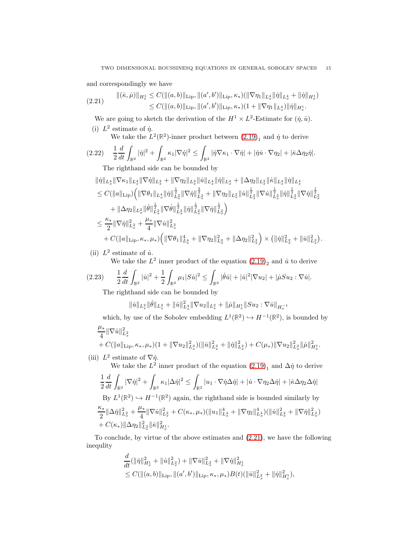and correspondingly we have

<span id="page-14-0"></span>
$$
(2.21) \qquad ||(\dot{\kappa}, \dot{\mu})||_{H_x^1} \leq C(||(a, b)||_{\text{Lip}}, ||(a', b')||_{\text{Lip}}, \kappa_*)(\|\nabla \eta_1\|_{L_x^4} ||\dot{\eta}||_{L_x^4} + ||\dot{\eta}||_{H_x^1})
$$
  

$$
\leq C(||(a, b)||_{\text{Lip}}, ||(a', b')||_{\text{Lip}}, \kappa_*)(1 + \|\nabla \eta_1\|_{L_x^4}) ||\dot{\eta}||_{H_x^1}.
$$

We are going to sketch the derivation of the  $H^1 \times L^2$ -Estimate for  $(\dot{\eta}, \dot{u})$ . (i)  $L^2$  estimate of  $\dot{\eta}$ .

We take the  $L^2(\mathbb{R}^2)$ -inner product between  $(2.19)_1$  and  $\dot{\eta}$  to derive

$$
(2.22)\quad \frac{1}{2}\frac{d}{dt}\int_{\mathbb{R}^2}|\dot{\eta}|^2+\int_{\mathbb{R}^2}\kappa_1|\nabla\dot{\eta}|^2\leq \int_{\mathbb{R}^2}|\dot{\eta}\nabla\kappa_1\cdot\nabla\dot{\eta}|+|\dot{\eta}\dot{u}\cdot\nabla\eta_2|+|\dot{\kappa}\Delta\eta_2\dot{\eta}|.
$$

The righthand side can be bounded by

$$
\begin{aligned} &\|\dot{\eta}\|_{L_x^4}\|\nabla \kappa_1\|_{L_x^4}\|\nabla \dot{\eta}\|_{L_x^2}+\|\nabla \eta_2\|_{L_x^2}\|\dot{u}\|_{L_x^4}\|\dot{\eta}\|_{L_x^4}+\|\Delta \eta_2\|_{L_x^2}\|\dot{\kappa}\|_{L_x^4}\|\dot{\eta}\|_{L_x^4}\\ &\leq C(\|a\|_{\mathrm{Lip}})\Big(\|\nabla \theta_1\|_{L_x^4}\|\dot{\eta}\|_{L_x^2}^{\frac{1}{2}}\|\nabla \dot{\eta}\|_{L_x^2}^{\frac{3}{2}}+\|\nabla \eta_2\|_{L_x^2}\|\dot{u}\|_{L_x^2}^{\frac{1}{2}}\|\nabla \dot{u}\|_{L_x^2}^{\frac{1}{2}}\|\dot{\eta}\|_{L_x^2}^{\frac{1}{2}}\|\nabla \dot{\eta}\|_{L_x^2}^{\frac{1}{2}}\| \nabla \dot{\eta}\|_{L_x^2}^{\frac{1}{2}}\|\nabla \dot{\eta}\|_{L_x^2}^{\frac{1}{2}}\|\nabla \dot{\eta}\|_{L_x^2}^{\frac{1}{2}}\|\nabla \dot{\eta}\|_{L_x^2}^{\frac{1}{2}}\|\nabla \dot{\eta}\|_{L_x^2}^{\frac{1}{2}}\|\nabla \dot{\eta}\|_{L_x^2}^{\frac{1}{2}}\Big)\\ &\leq \frac{\kappa_*}{2}\|\nabla \dot{\eta}\|_{L_x^2}^2+\frac{\mu_*}{4}\|\nabla \dot{u}\|_{L_x^2}^2\\ &+C(\|a\|_{\mathrm{Lip}},\kappa_*,\mu_*)\Big(\|\nabla \theta_1\|_{L_x^4}^4+\|\nabla \eta_2\|_{L_x^2}^2+\|\Delta \eta_2\|_{L_x^2}^2\Big)\times\big(\|\dot{\eta}\|_{L_x^2}^2+\|\dot{u}\|_{L_x^2}^2\big). \end{aligned}
$$

(ii)  $L^2$  estimate of  $\dot{u}$ .

We take the  $L^2$  inner product of the equation  $(2.19)_2$  and  $\dot{u}$  to derive

$$
(2.23) \qquad \frac{1}{2}\frac{d}{dt}\int_{\mathbb{R}^2}|\dot{u}|^2+\frac{1}{2}\int_{\mathbb{R}^2}\mu_1|S\dot{u}|^2\leq \int_{\mathbb{R}^2}|\dot{\theta}\dot{u}|+|\dot{u}|^2|\nabla u_2|+|\dot{\mu}S u_2:\nabla\dot{u}|.
$$

The righthand side can be bounded by

$$
\|\dot{u}\|_{L^2_x}\|\dot{\theta}\|_{L^2_x} + \|\dot{u}\|_{L^4_x}^2 \|\nabla u_2\|_{L^2_x} + \|\dot{\mu}\|_{H^1_x}\|Su_2 : \nabla \dot{u}\|_{H^{-1}_x}
$$

which, by use of the Sobolev embedding  $L^1(\mathbb{R}^2) \hookrightarrow H^{-1}(\mathbb{R}^2)$ , is bounded by µ∗

$$
\frac{\mu_{*}}{4} \|\nabla \dot{u}\|_{L_{x}^{2}}^{2} + C(\|a\|_{\text{Lip}}, \kappa_{*}, \mu_{*})(1 + \|\nabla u_{2}\|_{L_{x}^{2}}^{2}) (\|\dot{u}\|_{L_{x}^{2}}^{2} + \|\dot{\eta}\|_{L_{x}^{2}}^{2}) + C(\mu_{*}) \|\nabla u_{2}\|_{L_{x}^{2}}^{2} \|\dot{\mu}\|_{H_{x}^{1}}^{2}.
$$

(iii)  $L^2$  estimate of  $\nabla \dot{\eta}$ .

We take the  $L^2$  inner product of the equation  $(2.19)_1$  and  $\Delta \dot{\eta}$  to derive 1 2  $\frac{d}{dt}\int_{\mathbb{R}^2} |\nabla \dot{\eta}|^2 + \int$  $\int_{\mathbb{R}^2} \kappa_1 |\Delta \dot{\eta}|^2 \leq \int$  $\frac{1}{\mathbb{R}^2} \left| u_1 \cdot \nabla \dot{\eta} \Delta \dot{\eta} \right| + \left| \dot{u} \cdot \nabla \eta_2 \Delta \dot{\eta} \right| + \left| \dot{\kappa} \Delta \eta_2 \Delta \dot{\eta} \right|$ By  $L^1(\mathbb{R}^2) \hookrightarrow H^{-1}(\mathbb{R}^2)$  again, the righthand side is bounded similarly by κ∗  $\frac{\kappa_*}{2} \|\Delta \dot{\eta}\|_{L_x^2}^2 + \frac{\mu_*}{4}$  $\frac{d^4x}{4} \|\nabla \dot{u}\|_{L_x^2}^2 + C(\kappa_*,\mu_*)(\|u_1\|_{L_x^4}^4 + \|\nabla \eta_2\|_{L_x^4}^4) (\|\dot{u}\|_{L_x^2}^2 + \|\nabla \dot{\eta}\|_{L_x^2}^2)$  $+ C(\kappa_*) \|\Delta\eta_2\|_{L^2_x}^2 \|\dot\kappa\|_{H^1_x}^2.$ 

To conclude, by virtue of the above estimates and [\(2.21\)](#page-14-0), we have the following inequlity

$$
\frac{d}{dt}(\|\dot{\eta}\|_{H_x^1}^2 + \|\dot{u}\|_{L_x^2}^2) + \|\nabla \dot{u}\|_{L_x^2}^2 + \|\nabla \dot{\eta}\|_{H_x^1}^2 \leq C(\|(a, b)\|_{\text{Lip}}, \|(a', b')\|_{\text{Lip}}, \kappa_*, \mu_*)B(t)(\|\dot{u}\|_{L_x^2}^2 + \|\dot{\eta}\|_{H_x^1}^2),
$$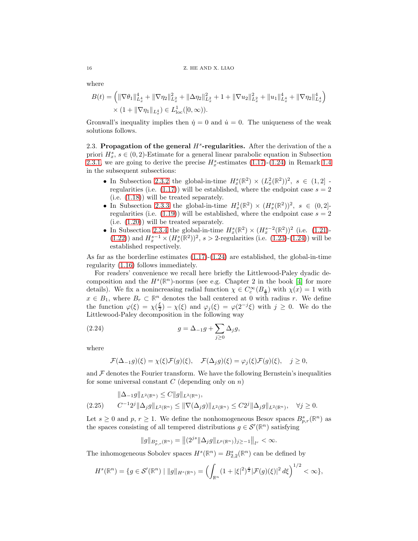where

$$
B(t) = \left( \|\nabla \theta_1\|_{L_x^4}^4 + \|\nabla \eta_2\|_{L_x^2}^2 + \|\Delta \eta_2\|_{L_x^2}^2 + 1 + \|\nabla u_2\|_{L_x^2}^2 + \|u_1\|_{L_x^4}^4 + \|\nabla \eta_2\|_{L_x^4}^4 \right) \times (1 + \|\nabla \eta_1\|_{L_x^4}) \in L^1_{loc}([0, \infty)).
$$

Gronwall's inequality implies then  $\dot{\eta} = 0$  and  $\dot{u} = 0$ . The uniqueness of the weak solutions follows.

<span id="page-15-0"></span>2.3. Propagation of the general  $H^s$ -regularities. After the derivation of the a priori  $H_x^s$ ,  $s \in (0, 2)$ -Estimate for a general linear parabolic equation in Subsection [2.3.1,](#page-16-2) we are going to derive the precise  $H_x^s$ -estimates [\(1.17\)](#page-7-3)-[\(1.24\)](#page-8-2) in Remark [1.4](#page-7-4) in the subsequent subsections:

- In Subsection [2.3.2](#page-19-0) the global-in-time  $H_x^s(\mathbb{R}^2) \times (L_x^2(\mathbb{R}^2))^2$ ,  $s \in (1,2]$ regularities (i.e.  $(1.17)$ ) will be established, where the endpoint case  $s = 2$ (i.e. [\(1.18\)](#page-7-1)) will be treated separately.
- In Subsection [2.3.3](#page-21-0) the global-in-time  $H_x^1(\mathbb{R}^2) \times (H_x^s(\mathbb{R}^2))^2$ ,  $s \in (0,2]$ regularities (i.e.  $(1.19)$ ) will be established, where the endpoint case  $s = 2$ (i.e. [\(1.20\)](#page-7-2)) will be treated separately.
- In Subsection [2.3.4](#page-22-0) the global-in-time  $H_x^s(\mathbb{R}^2) \times (H_x^{s-2}(\mathbb{R}^2))^2$  (i.e. [\(1.21\)](#page-7-0)-[\(1.22\)](#page-8-0)) and  $H_x^{s-1} \times (H_x^s(\mathbb{R}^2))^2$ ,  $s > 2$ -regularities (i.e. [\(1.23\)](#page-8-1)-[\(1.24\)](#page-8-2)) will be established respectively.

As far as the borderline estimates  $(1.17)-(1.24)$  $(1.17)-(1.24)$  are established, the global-in-time regularity [\(1.16\)](#page-5-4) follows immediately.

For readers' convenience we recall here briefly the Littlewood-Paley dyadic decomposition and the  $H^s(\mathbb{R}^n)$ -norms (see e.g. Chapter 2 in the book [\[4\]](#page-23-9) for more details). We fix a nonincreasing radial function  $\chi \in C_c^{\infty}(B_{\frac{4}{3}})$  with  $\chi(x) = 1$  with  $x \in B_1$ , where  $B_r \subset \mathbb{R}^n$  denotes the ball centered at 0 with radius r. We define the function  $\varphi(\xi) = \chi(\frac{\xi}{2}) - \chi(\xi)$  and  $\varphi_j(\xi) = \varphi(2^{-j}\xi)$  with  $j \geq 0$ . We do the Littlewood-Paley decomposition in the following way

<span id="page-15-1"></span>(2.24) 
$$
g = \Delta_{-1}g + \sum_{j\geq 0} \Delta_j g,
$$

where

$$
\mathcal{F}(\Delta_{-1}g)(\xi) = \chi(\xi)\mathcal{F}(g)(\xi), \quad \mathcal{F}(\Delta_{j}g)(\xi) = \varphi_{j}(\xi)\mathcal{F}(g)(\xi), \quad j \ge 0,
$$

and  $\mathcal F$  denotes the Fourier transform. We have the following Bernstein's inequalities for some universal constant  $C$  (depending only on  $n$ )

<span id="page-15-2"></span>
$$
\|\Delta_{-1}g\|_{L^{2}(\mathbb{R}^n)} \leq C\|g\|_{L^{2}(\mathbb{R}^n)},
$$
  
(2.25) 
$$
C^{-1}2^{j}\|\Delta_{j}g\|_{L^{2}(\mathbb{R}^n)} \leq \|\nabla(\Delta_{j}g)\|_{L^{2}(\mathbb{R}^n)} \leq C2^{j}\|\Delta_{j}g\|_{L^{2}(\mathbb{R}^n)}, \quad \forall j \geq 0.
$$

Let  $s \geq 0$  and  $p, r \geq 1$ . We define the nonhomogeneous Besov spaces  $B_{p,r}^s(\mathbb{R}^n)$  as the spaces consisting of all tempered distributions  $g \in \mathcal{S}'(\mathbb{R}^n)$  satisfying

$$
||g||_{B_{p,r}^s(\mathbb{R}^n)} = ||(2^{js}||\Delta_j g||_{L^p(\mathbb{R}^n)})_{j\geq -1}||_{l^r} < \infty.
$$

The inhomogeneous Sobolev spaces  $H^s(\mathbb{R}^n) = B^s_{2,2}(\mathbb{R}^n)$  can be defined by

$$
H^{s}(\mathbb{R}^{n}) = \{g \in \mathcal{S}'(\mathbb{R}^{n}) \mid ||g||_{H^{s}(\mathbb{R}^{n})} = \left(\int_{\mathbb{R}^{n}} (1 + |\xi|^{2})^{\frac{s}{2}} |\mathcal{F}(g)(\xi)|^{2} d\xi\right)^{1/2} < \infty\},\
$$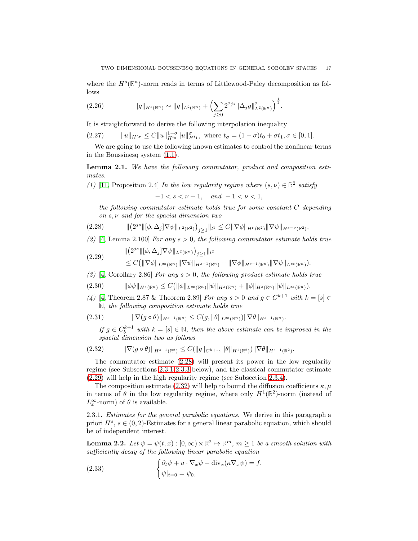where the  $H^s(\mathbb{R}^n)$ -norm reads in terms of Littlewood-Paley decomposition as follows

<span id="page-16-7"></span>(2.26) 
$$
\|g\|_{H^s(\mathbb{R}^n)} \sim \|g\|_{L^2(\mathbb{R}^n)} + \left(\sum_{j\geq 0} 2^{2js} \|\Delta_j g\|_{L^2(\mathbb{R}^n)}^2\right)^{\frac{1}{2}}.
$$

It is straightforward to derive the following interpolation inequality

<span id="page-16-8"></span>(2.27) 
$$
||u||_{H^{t_{\sigma}}} \leq C||u||_{H^{t_0}}^{1-\sigma}||u||_{H^{t_1}}^{\sigma}, \text{ where } t_{\sigma} = (1-\sigma)t_0 + \sigma t_1, \sigma \in [0,1].
$$

We are going to use the following known estimates to control the nonlinear terms in the Boussinesq system [\(1.1\)](#page-0-0).

<span id="page-16-0"></span>Lemma 2.1. We have the following commutator, product and composition estimates.

(1) [\[11,](#page-23-10) Proposition 2.4] In the low regularity regime where  $(s, \nu) \in \mathbb{R}^2$  satisfy

 $-1 < s < \nu + 1$ , and  $-1 < \nu < 1$ ,

<span id="page-16-3"></span>the following commutator estimate holds true for some constant C depending on s, ν and for the spacial dimension two

$$
(2.28) \t\t\t\t\t\| \left(2^{js} \|\left[\phi,\Delta_j\right]\nabla\psi\|_{L^2(\mathbb{R}^2)}\right)_{j\geq 1}\|_{l^1} \leq C \|\nabla\phi\|_{H^{\nu}(\mathbb{R}^2)} \|\nabla\psi\|_{H^{s-\nu}(\mathbb{R}^2)}.
$$

(2) [\[4,](#page-23-9) Lemma 2.100] For any  $s > 0$ , the following commutator estimate holds true

<span id="page-16-4"></span>
$$
(2.29) \qquad \begin{aligned} \| (2^{js} \| [\phi, \Delta_j] \nabla \psi \|_{L^2(\mathbb{R}^n)} )_{j \ge 1} \|_{l^2} \\ &\le C \big( \| \nabla \phi \|_{L^\infty(\mathbb{R}^n)} \| \nabla \psi \|_{H^{s-1}(\mathbb{R}^n)} + \| \nabla \phi \|_{H^{s-1}(\mathbb{R}^n)} \| \nabla \psi \|_{L^\infty(\mathbb{R}^n)} \big). \end{aligned}
$$

(3) [\[4,](#page-23-9) Corollary 2.86] For any  $s > 0$ , the following product estimate holds true

 $|(2.30)$   $\|\phi\psi\|_{H^s(\mathbb{R}^n)} \leq C(\|\phi\|_{L^\infty(\mathbb{R}^n)}\|\psi\|_{H^s(\mathbb{R}^n)} + \|\phi\|_{H^s(\mathbb{R}^n)}\|\psi\|_{L^\infty(\mathbb{R}^n)}).$ 

(4) [\[4,](#page-23-9) Theorem 2.87 & Theorem 2.89] For any  $s > 0$  and  $g \in C^{k+1}$  with  $k = [s] \in$ **N**, the following composition estimate holds true

$$
(2.31) \t\t\t \|\nabla(g \circ \theta)\|_{H^{s-1}(\mathbb{R}^n)} \leq C(g, \|\theta\|_{L^{\infty}(\mathbb{R}^n)}) \|\nabla \theta\|_{H^{s-1}(\mathbb{R}^n)}.
$$

<span id="page-16-5"></span>If  $g \in C_b^{k+1}$  with  $k = [s] \in \mathbb{N}$ , then the above estimate can be improved in the spacial dimension two as follows

$$
(2.32) \t\t ||\nabla(g \circ \theta)||_{H^{s-1}(\mathbb{R}^2)} \leq C(||g||_{C^{k+1}}, ||\theta||_{H^1(\mathbb{R}^2)}) ||\nabla \theta||_{H^{s-1}(\mathbb{R}^2)}.
$$

The commutator estimate [\(2.28\)](#page-16-3) will present its power in the low regularity regime (see Subsections [2.3.1](#page-16-2)[-2.3.3](#page-21-0) below), and the classical commutator estimate [\(2.29\)](#page-16-4) will help in the high regularity regime (see Subsection [2.3.4\)](#page-22-0).

The composition estimate [\(2.32\)](#page-16-5) will help to bound the diffusion coefficients  $\kappa, \mu$ in terms of  $\theta$  in the low regularity regime, where only  $H^1(\mathbb{R}^2)$ -norm (instead of  $L_x^{\infty}$ -norm) of  $\theta$  is available.

<span id="page-16-2"></span>2.3.1. Estimates for the general parabolic equations. We derive in this paragraph a priori  $H^s$ ,  $s \in (0, 2)$ -Estimates for a general linear parabolic equation, which should be of independent interest.

<span id="page-16-1"></span>**Lemma 2.2.** Let  $\psi = \psi(t, x) : [0, \infty) \times \mathbb{R}^2 \to \mathbb{R}^m$ ,  $m \ge 1$  be a smooth solution with sufficiently decay of the following linear parabolic equation

<span id="page-16-6"></span>(2.33) 
$$
\begin{cases} \partial_t \psi + u \cdot \nabla_x \psi - \text{div}_x(\kappa \nabla_x \psi) = f, \\ \psi|_{t=0} = \psi_0, \end{cases}
$$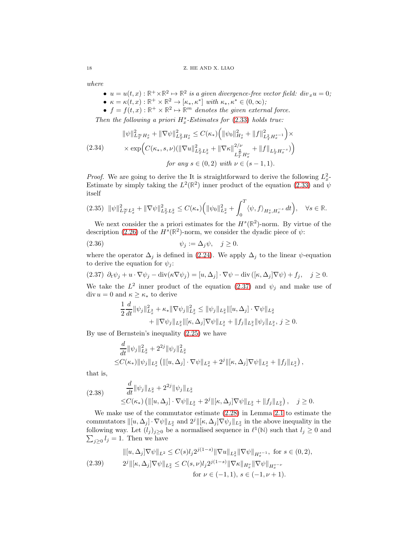where

- $u = u(t, x): \mathbb{R}^+ \times \mathbb{R}^2 \mapsto \mathbb{R}^2$  is a given divergence-free vector field: div<sub>x</sub>u = 0;
- $\kappa = \kappa(t, x) : \mathbb{R}^+ \times \mathbb{R}^2 \to [\kappa_*, \kappa^*]$  with  $\kappa_*, \kappa^* \in (0, \infty);$
- $f = f(t, x): \mathbb{R}^+ \times \mathbb{R}^2 \mapsto \mathbb{R}^m$  denotes the given external force.

Then the following a priori  $H^s_x$ -Estimates for [\(2.33\)](#page-16-6) holds true:

<span id="page-17-2"></span>
$$
\|\psi\|_{L^{\infty}_T H^s_x}^2 + \|\nabla\psi\|_{L^2_T H^s_x}^2 \le C(\kappa_*) \left( \|\psi_0\|_{H^s_x}^2 + \|f\|_{L^2_T H^{s-1}_x}^2 \right) \times
$$
  
(2.34) 
$$
\times \exp\left( C(\kappa_*, s, \nu) (\|\nabla u\|_{L^2_T L^2_x}^2 + \|\nabla\kappa\|_{L^{\infty}_T H^{\nu}_x}^{2/\nu} + \|f\|_{L^1_T H^{-s}_x}) \right)
$$
  
for any  $s \in (0, 2)$  with  $\nu \in (s - 1, 1)$ .

*Proof.* We are going to derive the It is straightforward to derive the following  $L_x^2$ -Estimate by simply taking the  $L^2(\mathbb{R}^2)$  inner product of the equation [\(2.33\)](#page-16-6) and  $\psi$ itself

<span id="page-17-1"></span>
$$
(2.35) \quad \|\psi\|_{L^{\infty}_{T}L^{2}_{x}}^{2} + \|\nabla\psi\|_{L^{2}_{T}L^{2}_{x}}^{2} \leq C(\kappa_{*}) \Big( \|\psi_{0}\|_{L^{2}_{x}}^{2} + \int_{0}^{T} \langle \psi, f \rangle_{H^{s}_{x}, H^{-s}_{x}} dt \Big), \quad \forall s \in \mathbb{R}.
$$

We next consider the a priori estimates for the  $H<sup>s</sup>(\mathbb{R}^2)$ -norm. By virtue of the description [\(2.26\)](#page-16-7) of the  $H^s(\mathbb{R}^2)$ -norm, we consider the dyadic piece of  $\psi$ :

(2.36) 
$$
\psi_j := \Delta_j \psi, \quad j \geq 0.
$$

where the operator  $\Delta_j$  is defined in [\(2.24\)](#page-15-1). We apply  $\Delta_j$  to the linear  $\psi$ -equation to derive the equation for  $\psi_i$ :

<span id="page-17-0"></span>(2.37) 
$$
\partial_t \psi_j + u \cdot \nabla \psi_j - \text{div}(\kappa \nabla \psi_j) = [u, \Delta_j] \cdot \nabla \psi - \text{div}([\kappa, \Delta_j] \nabla \psi) + f_j, \quad j \ge 0.
$$
  
We take the  $L^2$  inner product of the equation (2.37) and  $\psi_j$  and make use of div  $u = 0$  and  $\kappa \ge \kappa_*$  to derive

$$
\frac{1}{2}\frac{d}{dt}\|\psi_j\|_{L_x^2}^2 + \kappa_* \|\nabla \psi_j\|_{L_x^2}^2 \le \|\psi_j\|_{L_x^2} \|[u, \Delta_j] \cdot \nabla \psi\|_{L_x^2} \n+ \|\nabla \psi_j\|_{L_x^2} \|[k, \Delta_j] \nabla \psi\|_{L_x^2} + \|f_j\|_{L_x^2} \|\psi_j\|_{L_x^2}, \ j \ge 0.
$$

By use of Bernstein's inequality [\(2.25\)](#page-15-2) we have

$$
\frac{d}{dt} \|\psi_j\|_{L_x^2}^2 + 2^{2j} \|\psi_j\|_{L_x^2}^2 \leq C(\kappa_*) \|\psi_j\|_{L_x^2} (\|[u, \Delta_j] \cdot \nabla \psi\|_{L_x^2} + 2^j \|[\kappa, \Delta_j] \nabla \psi\|_{L_x^2} + \|f_j\|_{L_x^2}),
$$

that is,

<span id="page-17-3"></span>(2.38) 
$$
\frac{d}{dt} ||\psi_j||_{L_x^2} + 2^{2j} ||\psi_j||_{L_x^2}
$$
  
\n
$$
\leq C(\kappa_*) \left( ||[u, \Delta_j] \cdot \nabla \psi||_{L_x^2} + 2^j ||[\kappa, \Delta_j] \nabla \psi||_{L_x^2} + ||f_j||_{L_x^2} \right), \quad j \geq 0.
$$

We make use of the commutator estimate [\(2.28\)](#page-16-3) in Lemma [2.1](#page-16-0) to estimate the commutators  $\|[u, \Delta_j] \cdot \nabla \psi\|_{L_x^2}$  and  $2^j\|[\kappa, \Delta_j] \nabla \psi_j\|_{L_x^2}$  in the above inequality in the following way. Let  $(l_j)_{j\geq 0}$  be a normalised sequence in  $\ell^1(\mathbb{N})$  such that  $l_j \geq 0$  and  $\sum_{j\geq 0} l_j = 1$ . Then we have

<span id="page-17-4"></span>
$$
\| [u, \Delta_j] \nabla \psi \|_{L^2} \le C(s) l_j 2^{j(1-s)} \| \nabla u \|_{L^2_x} \| \nabla \psi \|_{H^{s-1}_x}, \text{ for } s \in (0, 2),
$$
  
(2.39) 
$$
2^j \| [\kappa, \Delta_j] \nabla \psi \|_{L^2_x} \le C(s, \nu) l_j 2^{j(1-s)} \| \nabla \kappa \|_{H^s_x} \| \nabla \psi \|_{H^{s-\nu}_x}
$$
  
for  $\nu \in (-1, 1), s \in (-1, \nu + 1).$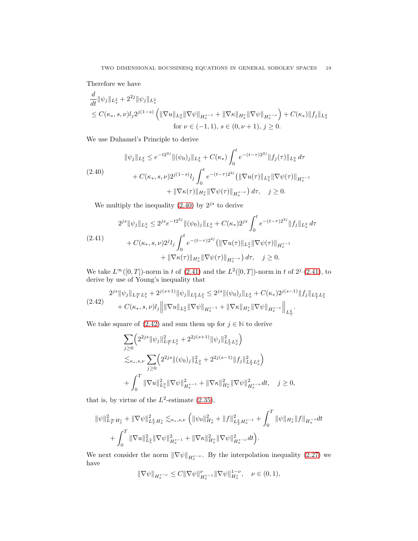Therefore we have

$$
\frac{d}{dt} \|\psi_j\|_{L_x^2} + 2^{2j} \|\psi_j\|_{L_x^2}
$$
\n
$$
\leq C(\kappa_*, s, \nu) l_j 2^{j(1-s)} \left( \|\nabla u\|_{L_x^2} \|\nabla \psi\|_{H_x^{s-1}} + \|\nabla \kappa\|_{H_x^{\nu}} \|\nabla \psi\|_{H_x^{s-\nu}} \right) + C(\kappa_*) \|f_j\|_{L_x^2}
$$
\n
$$
\text{for } \nu \in (-1, 1), \, s \in (0, \nu + 1), \, j \geq 0.
$$

We use Duhamel's Principle to derive

<span id="page-18-0"></span>
$$
\|\psi_j\|_{L_x^2} \le e^{-t2^{2j}} \|(\psi_0)_j\|_{L_x^2} + C(\kappa_*) \int_0^t e^{-(t-\tau)2^{2j}} \|f_j(\tau)\|_{L_x^2} d\tau
$$
  

$$
+ C(\kappa_*, s, \nu) 2^{j(1-s)} l_j \int_0^t e^{-(t-\tau)2^{2j}} \left(\|\nabla u(\tau)\|_{L_x^2} \|\nabla \psi(\tau)\|_{H_x^{s-1}} + \|\nabla \kappa(\tau)\|_{H_x^{\nu}} \|\nabla \psi(\tau)\|_{H_x^{s-\nu}}\right) d\tau, \quad j \ge 0.
$$

We multiply the inequality  $(2.40)$  by  $2^{js}$  to derive

<span id="page-18-1"></span>
$$
2^{js} \|\psi_j\|_{L_x^2} \le 2^{js} e^{-t2^{2j}} \|(\psi_0)_j\|_{L_x^2} + C(\kappa_*) 2^{js} \int_0^t e^{-(t-\tau)2^{2j}} \|f_j\|_{L_x^2} d\tau
$$
  
(2.41)  

$$
+ C(\kappa_*, s, \nu) 2^j l_j \int_0^t e^{-(t-\tau)2^{2j}} \left( \|\nabla u(\tau)\|_{L_x^2} \|\nabla \psi(\tau)\|_{H_x^{s-1}} + \|\nabla \kappa(\tau)\|_{H_x^{\nu}} \|\nabla \psi(\tau)\|_{H_x^{s-\nu}} \right) d\tau, \quad j \ge 0.
$$

We take  $L^{\infty}([0,T])$ -norm in t of  $(2.41)$  and the  $L^2([0,T])$ -norm in t of  $2^j \cdot (2.41)$  $2^j \cdot (2.41)$ , to derive by use of Young's inequality that

<span id="page-18-2"></span>
$$
(2.42) \quad 2^{js} \|\psi_j\|_{L_T^\infty L_x^2} + 2^{j(s+1)} \|\psi_j\|_{L_T^2 L_x^2} \le 2^{js} \|(\psi_0)_j\|_{L_x^2} + C(\kappa_*) 2^{j(s-1)} \|f_j\|_{L_T^2 L_x^2} + C(\kappa_*, s, \nu)l_j \|\|\nabla u\|_{L_x^2} \|\nabla \psi\|_{H_x^{s-1}} + \|\nabla \kappa\|_{H_x^{\nu}} \|\nabla \psi\|_{H_x^{s-\nu}} \|\bigg|_{L_T^2}.
$$

We take square of  $(2.42)$  and sum them up for  $j \in \mathbb{N}$  to derive

$$
\sum_{j\geq 0} \left( 2^{2js} \|\psi_j\|_{L^{\infty}_T L^2_x}^2 + 2^{2j(s+1)} \|\psi_j\|_{L^2_T L^2_x}^2 \right)
$$
  

$$
\lesssim_{\kappa_*,s,\nu} \sum_{j\geq 0} \left( 2^{2js} \|(\psi_0)_j\|_{L^2_x}^2 + 2^{2j(s-1)} \|f_j\|_{L^2_T L^2_x}^2 \right)
$$
  
+ 
$$
\int_0^T \|\nabla u\|_{L^2_x}^2 \|\nabla \psi\|_{H^{s-1}_x}^2 + \|\nabla \kappa\|_{H^{\nu}_x}^2 \|\nabla \psi\|_{H^{s-\nu}_x}^2 dt, \quad j \geq 0,
$$

that is, by virtue of the  $L^2$ -estimate [\(2.35\)](#page-17-1),

$$
\begin{split} \|\psi\|_{L^\infty_T H^s_x}^2+\|\nabla\psi\|_{L^2_T H^s_x}^2\lesssim_{\kappa_*,s,\nu} \Big(\|\psi_0\|_{H^s_x}^2+\|f\|_{L^2_T H^{s-1}_x}^2+\int_0^T\|\psi\|_{H^s_x}\|f\|_{H^{-s}_x}dt\\ &+\int_0^T\|\nabla u\|_{L^2_x}^2\|\nabla\psi\|_{H^{s-1}_x}^2+\|\nabla\kappa\|_{H^s_x}^2\|\nabla\psi\|_{H^{s-\nu}_x}^2dt\Big). \end{split}
$$

We next consider the norm  $\|\nabla \psi\|_{H_x^{s-\nu}}$ . By the interpolation inequality [\(2.27\)](#page-16-8) we have

$$
\|\nabla \psi\|_{H^{s-\nu}_x}\leq C\|\nabla \psi\|_{H^{s-1}_x}^\nu\|\nabla \psi\|_{H^s_x}^{1-\nu},\quad \nu\in (0,1),
$$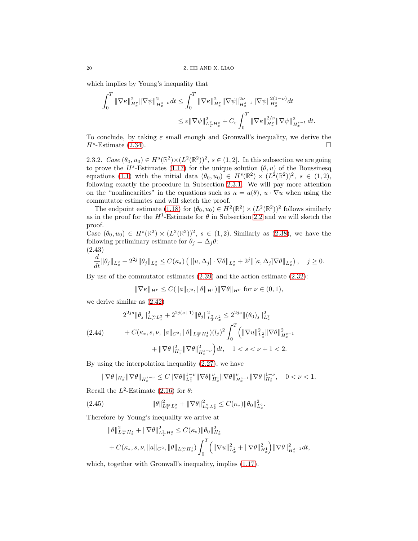which implies by Young's inequality that

$$
\begin{aligned} \int_0^T \|\nabla \kappa\|_{H^s_x}^2 \|\nabla \psi\|_{H^{s-\nu}_x}^2 dt &\leq \int_0^T \|\nabla \kappa\|_{H^{\nu}_x}^2 \|\nabla \psi\|_{H^{s-1}_x}^{2\nu} \|\nabla \psi\|_{H^s_x}^{2(1-\nu)} dt \\ &\leq \varepsilon \|\nabla \psi\|_{L^2_T H^s_x}^2 + C_\varepsilon \int_0^T \|\nabla \kappa\|_{H^v_x}^{2/\nu} \|\nabla \psi\|_{H^{s-1}_x}^2 dt. \end{aligned}
$$

To conclude, by taking  $\varepsilon$  small enough and Gronwall's inequality, we derive the  $H^s$ -Estimate [\(2.34\)](#page-17-2).

<span id="page-19-0"></span>2.3.2. Case  $(\theta_0, u_0) \in H^s(\mathbb{R}^2) \times (L^2(\mathbb{R}^2))^2$ ,  $s \in (1, 2]$ . In this subsection we are going to prove the  $H^s$ -Estimates [\(1.17\)](#page-7-3) for the unique solution  $(\theta, u)$  of the Boussinesq equations [\(1.1\)](#page-0-0) with the initial data  $(\theta_0, u_0) \in H^s(\mathbb{R}^2) \times (L^2(\mathbb{R}^2))^2$ ,  $s \in (1, 2)$ , following exactly the procedure in Subsection [2.3.1.](#page-16-2) We will pay more attention on the "nonlinearities" in the equations such as  $\kappa = a(\theta)$ ,  $u \cdot \nabla u$  when using the commutator estimates and will sketch the proof.

The endpoint estimate  $(1.18)$  for  $(\theta_0, u_0) \in H^2(\mathbb{R}^2) \times (L^2(\mathbb{R}^2))^2$  follows similarly as in the proof for the  $H^1$ -Estimate for  $\theta$  in Subsection [2.2](#page-11-0) and we will sketch the proof.

Case  $(\theta_0, u_0) \in H^s(\mathbb{R}^2) \times (L^2(\mathbb{R}^2))^2$ ,  $s \in (1, 2)$ . Similarly as  $(2.38)$ , we have the following preliminary estimate for  $\theta_j = \Delta_j \theta$ : (2.43)

<span id="page-19-1"></span>
$$
\frac{d}{dt} \|\theta_j\|_{L_x^2} + 2^{2j} \|\theta_j\|_{L_x^2} \le C(\kappa_*) \left( \| [u, \Delta_j] \cdot \nabla \theta \|_{L_x^2} + 2^j \| [\kappa, \Delta_j] \nabla \theta \|_{L_x^2} \right), \quad j \ge 0.
$$

By use of the commutator estimates [\(2.39\)](#page-17-4) and the action estimate [\(2.32\)](#page-16-5):

$$
\|\nabla \kappa\|_{H^{\nu}} \le C(\|a\|_{C^2}, \|\theta\|_{H^1}) \|\nabla \theta\|_{H^{\nu}} \text{ for } \nu \in (0, 1),
$$

we derive similar as [\(2.42\)](#page-18-2)

<span id="page-19-2"></span>
$$
2^{2js} \|\theta_j\|_{L^{\infty}_T L^2_x}^2 + 2^{2j(s+1)} \|\theta_j\|_{L^2_T L^2_x}^2 \le 2^{2js} \|(\theta_0)_j\|_{L^2_x}^2
$$
  
(2.44) 
$$
+ C(\kappa_*, s, \nu, \|a\|_{C^2}, \|\theta\|_{L^{\infty}_T H^1_x})(l_j)^2 \int_0^T \left(\|\nabla u\|_{L^2_x}^2 \|\nabla \theta\|_{H^{s-1}_x}^2\right) + \|\nabla \theta\|_{H^{\nu}_x}^2 \|\nabla \theta\|_{H^{s-\nu}_x}^2\right) dt, \quad 1 < s < \nu + 1 < 2.
$$

By using the interpolation inequality [\(2.27\)](#page-16-8), we have

$$
\|\nabla\theta\|_{H^{\nu}_{x}}\|\nabla\theta\|_{H^s_{x}}\leq C\|\nabla\theta\|^{1-\nu}_{L^2_{x}}\|\nabla\theta\|_{H^1_{x}}^{\nu}\|\nabla\theta\|_{H^s_{x}}^{\nu}\|\nabla\theta\|^{1-\nu}_{H^s_{x}},\quad 0<\nu<1.
$$

Recall the  $L^2$ -Estimate [\(2.16\)](#page-12-3) for  $\theta$ :

(2.45) 
$$
\|\theta\|_{L_T^\infty L_x^2}^2 + \|\nabla\theta\|_{L_T^2 L_x^2}^2 \leq C(\kappa_*) \|\theta_0\|_{L_x^2}^2.
$$

Therefore by Young's inequality we arrive at

<span id="page-19-3"></span>
$$
\|\theta\|_{L_T^\infty H_x^s}^2 + \|\nabla\theta\|_{L_T^2 H_x^s}^2 \le C(\kappa_*) \|\theta_0\|_{H_x^s}^2
$$
  
+  $C(\kappa_*, s, \nu, \|a\|_{C^2}, \|\theta\|_{L_T^\infty H_x^1}) \int_0^T \left( \|\nabla u\|_{L_x^2}^2 + \|\nabla\theta\|_{H_x^1}^2 \right) \|\nabla\theta\|_{H_x^{s-1}}^2 dt$ 

which, together with Gronwall's inequality, implies  $(1.17)$ .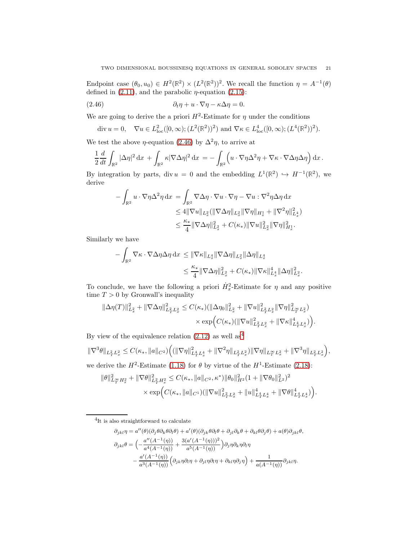Endpoint case  $(\theta_0, u_0) \in H^2(\mathbb{R}^2) \times (L^2(\mathbb{R}^2))^2$ . We recall the function  $\eta = A^{-1}(\theta)$ defined in  $(2.11)$ , and the parabolic  $\eta$ -equation  $(2.15)$ :

(2.46) 
$$
\partial_t \eta + u \cdot \nabla \eta - \kappa \Delta \eta = 0.
$$

We are going to derive the a priori  $H^2$ -Estimate for  $\eta$  under the conditions

<span id="page-20-0"></span>div 
$$
u = 0
$$
,  $\nabla u \in L^2_{loc}([0, \infty); (L^2(\mathbb{R}^2))^2)$  and  $\nabla \kappa \in L^4_{loc}([0, \infty); (L^4(\mathbb{R}^2))^2)$ .

We test the above  $\eta$ -equation [\(2.46\)](#page-20-0) by  $\Delta^2 \eta$ , to arrive at

$$
\frac{1}{2}\frac{d}{dt}\int_{\mathbb{R}^2}|\Delta\eta|^2\,\mathrm{d}x + \int_{\mathbb{R}^2}\kappa|\nabla\Delta\eta|^2\,\mathrm{d}x = -\int_{\mathbb{R}^2}\left(u\cdot\nabla\eta\Delta^2\eta + \nabla\kappa\cdot\nabla\Delta\eta\Delta\eta\right)\mathrm{d}x.
$$

By integration by parts, div  $u = 0$  and the embedding  $L^1(\mathbb{R}^2) \hookrightarrow H^{-1}(\mathbb{R}^2)$ , we derive

$$
-\int_{\mathbb{R}^2} u \cdot \nabla \eta \Delta^2 \eta \,dx = \int_{\mathbb{R}^2} \nabla \Delta \eta \cdot \nabla u \cdot \nabla \eta - \nabla u \cdot \nabla^2 \eta \Delta \eta \,dx
$$
  
\n
$$
\leq 4 \|\nabla u\|_{L_x^2} (\|\nabla \Delta \eta\|_{L_x^2} \|\nabla \eta\|_{H_x^1} + \|\nabla^2 \eta\|_{L_x^4}^2)
$$
  
\n
$$
\leq \frac{\kappa_*}{4} \|\nabla \Delta \eta\|_{L_x^2}^2 + C(\kappa_*) \|\nabla u\|_{L_x^2}^2 \|\nabla \eta\|_{H_x^1}^2.
$$

Similarly we have

$$
-\int_{\mathbb{R}^2} \nabla \kappa \cdot \nabla \Delta \eta \Delta \eta \,dx \leq \|\nabla \kappa\|_{L_x^4} \|\nabla \Delta \eta\|_{L_x^2} \|\Delta \eta\|_{L_x^4}
$$

$$
\leq \frac{\kappa_*}{4} \|\nabla \Delta \eta\|_{L_x^2}^2 + C(\kappa_*) \|\nabla \kappa\|_{L_x^4}^4 \|\Delta \eta\|_{L_x^2}^2.
$$

To conclude, we have the following a priori  $\dot{H}_x^2$ -Estimate for  $\eta$  and any positive time  $T > 0$  by Gronwall's inequality

$$
\begin{aligned} \|\Delta \eta(T)\|_{L_x^2}^2+\|\nabla \Delta \eta\|_{L_T^2L_x^2}^2&\leq C(\kappa_*)(\|\Delta \eta_0\|_{L_x^2}^2+\|\nabla u\|_{L_T^2L_x^2}^2\|\nabla \eta\|_{L_T^\inftyL_x^2}^2)\\ &\times \exp\Bigl(C(\kappa_*)(\|\nabla u\|_{L_T^2L_x^2}^2+\|\nabla \kappa\|_{L_T^4L_x^4}^4)\Bigr). \end{aligned}
$$

By view of the equivalence relation  $(2.12)$  as well as<sup>[4](#page-20-1)</sup>

$$
\|\nabla^3 \theta\|_{L_T^2 L_x^2} \le C(\kappa_*, \|a\|_{C^2}) \Big( (\|\nabla \eta\|_{L_T^4 L_x^4}^2 + \|\nabla^2 \eta\|_{L_T^2 L_x^2}) \|\nabla \eta\|_{L_T^\infty L_x^2} + \|\nabla^3 \eta\|_{L_T^2 L_x^2} \Big),
$$

we derive the  $H^2$ -Estimate [\(1.18\)](#page-7-1) for  $\theta$  by virtue of the  $H^1$ -Estimate [\(2.18\)](#page-13-1):

$$
\begin{split} \|\theta\|^2_{L^\infty_T H^2_x} + \|\nabla\theta\|^2_{L^2_T H^2_x} &\leq C(\kappa_*, \|a\|_{C^2}, \kappa^*) \|\theta_0\|^2_{H^2} (1 + \|\nabla\theta_0\|^2_{L^2})^2 \\ &\times \exp\Bigl( C(\kappa_*, \|a\|_{C^1}) (\|\nabla u\|^2_{L^2_T L^2_x} + \|u\|^4_{L^4_T L^4_x} + \|\nabla\theta\|^4_{L^4_T L^4_x}) \Bigr). \end{split}
$$

<span id="page-20-1"></span>4 It is also straightforward to calculate

$$
\begin{aligned} \partial_{jkl}\eta&=a''(\theta)(\partial_j\theta\partial_k\theta\partial_l\theta)+a'(\theta)(\partial_{jk}\theta\partial_l\theta+\partial_{jl}\partial_k\theta+\partial_{kl}\theta\partial_j\theta)+a(\theta)\partial_{jkl}\theta,\\ \partial_{jkl}\theta&=\Big(-\frac{a''(A^{-1}(\eta))}{a^4(A^{-1}(\eta))}+\frac{3(a'(A^{-1}(\eta)))^2}{a^5(A^{-1}(\eta))}\Big)\partial_j\eta\partial_k\eta\partial_l\eta\\ &-\frac{a'(A^{-1}(\eta))}{a^3(A^{-1}(\eta))}\Big(\partial_{jk}\eta\partial_l\eta+\partial_{jl}\eta\partial_l\eta+\partial_{kl}\eta\partial_j\eta\Big)+\frac{1}{a(A^{-1}(\eta))}\partial_{jkl}\eta. \end{aligned}
$$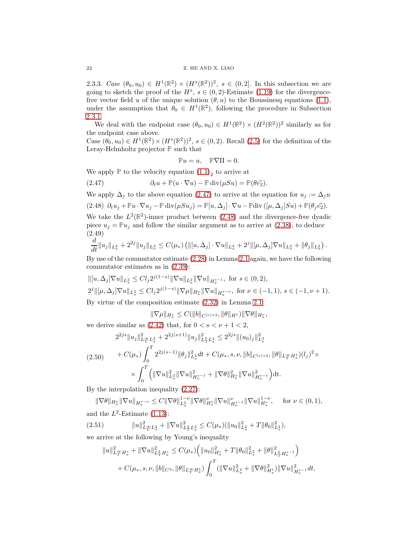2.3.3. Case  $(\theta_0, u_0) \in H^1(\mathbb{R}^2) \times (H^s(\mathbb{R}^2))^2$ ,  $s \in (0, 2]$ . In this subsection we are going to sketch the proof of the  $H^s$ ,  $s \in (0, 2)$ -Estimate [\(1.19\)](#page-7-5) for the divergencefree vector field u of the unique solution  $(\theta, u)$  to the Boussinesq equations [\(1.1\)](#page-0-0), under the assumption that  $\theta_0 \in H^1(\mathbb{R}^2)$ , following the procedure in Subsection [2.3.1.](#page-16-2)

We deal with the endpoint case  $(\theta_0, u_0) \in H^1(\mathbb{R}^2) \times (H^2(\mathbb{R}^2))^2$  similarly as for the endpoint case above.

Case  $(\theta_0, u_0) \in H^1(\mathbb{R}^2) \times (H^s(\mathbb{R}^2))^2$ ,  $s \in (0, 2)$ . Recall  $(2.5)$  for the definition of the Leray-Helmholtz projector **P** such that

<span id="page-21-1"></span>
$$
\mathbb{P} u = u, \quad \mathbb{P} \nabla \Pi = 0.
$$

We apply  $\mathbb P$  to the velocity equation  $(1.1)_2$  to arrive at

(2.47) 
$$
\partial_t u + \mathbb{P}(u \cdot \nabla u) - \mathbb{P} \operatorname{div}(\mu S u) = \mathbb{P}(\theta \vec{e_2}).
$$

<span id="page-21-2"></span>We apply  $\Delta_j$  to the above equation [\(2.47\)](#page-21-1) to arrive at the equation for  $u_j := \Delta_j u$  $(2.48)$   $\partial_t u_j + \mathbb{P}u \cdot \nabla u_j - \mathbb{P} \text{div}(\mu S u_j) = \mathbb{P}[u, \Delta_j] \cdot \nabla u - \mathbb{P} \text{div}([\mu, \Delta_j] S u) + \mathbb{P}(\theta_j \vec{e_2}).$ 

We take the  $L^2(\mathbb{R}^2)$ -inner product between [\(2.48\)](#page-21-2) and the divergence-free dyadic piece  $u_j = \mathbb{P}u_j$  and follow the similar argument as to arrive at [\(2.38\)](#page-17-3), to deduce (2.49)

<span id="page-21-3"></span>
$$
\frac{d}{dt}||u_j||_{L_x^2} + 2^{2j}||u_j||_{L_x^2} \leq C(\mu_*) \left( ||[u, \Delta_j] \cdot \nabla u||_{L_x^2} + 2^j ||[\mu, \Delta_j] \nabla u||_{L_x^2} + ||\theta_j||_{L_x^2} \right).
$$

By use of the commutator estimate [\(2.28\)](#page-16-3) in Lemma [2.1](#page-16-0) again, we have the following commutator estimates as in [\(2.39\)](#page-17-4):

$$
\begin{aligned}\n\| [u, \Delta_j] \nabla u \|_{L_x^2} &\leq C l_j 2^{j(1-s)} \|\nabla u \|_{L_x^2} \|\nabla u \|_{H_x^{s-1}}, \text{ for } s \in (0, 2), \\
2^j \| [\mu, \Delta_j] \nabla u \|_{L_x^2} &\leq C l_j 2^{j(1-s)} \|\nabla \mu \|_{H_x^{\nu}} \|\nabla u \|_{H_x^{s-\nu}}, \text{ for } \nu \in (-1, 1), s \in (-1, \nu + 1).\n\end{aligned}
$$
\nBy virtue of the composition estimate (2.32) in Lemma 2.1:

 $\|\nabla\mu\|_{H^{\nu}_x}\leq C(\|b\|_{C^{\left[\nu\right]+2}},\|\theta\|_{H^1})\|\nabla\theta\|_{H^{\nu}_x},$ 

we derive similar as  $(2.42)$  that, for  $0 < s < \nu + 1 < 2$ ,

$$
2^{2js} \|u_j\|_{L^{\infty}_T L^2_x}^2 + 2^{2j(s+1)} \|u_j\|_{L^2_T L^2_x}^2 \le 2^{2js} \|(u_0)_j\|_{L^2_x}^2
$$
  
(2.50) 
$$
+ C(\mu_*) \int_0^T 2^{2j(s-1)} \|\theta_j\|_{L^2_x}^2 dt + C(\mu_*, s, \nu, \|b\|_{C^{\{\nu\}+2}}, \|\theta\|_{L^{\infty}_T H^1_x})(l_j)^2
$$

$$
\times \int_0^T \left( \|\nabla u\|_{L^2_x}^2 \|\nabla u\|_{H^{s-1}_x}^2 + \|\nabla \theta\|_{H^{\nu}_x}^2 \|\nabla u\|_{H^{s-\nu}_x}^2 \right) dt.
$$

 $\times$ 

By the interpolation inequality [\(2.27\)](#page-16-8):

 $\|\nabla\theta\|_{H_x^s} \|\nabla u\|_{H_x^{s-\nu}} \leq C \|\nabla\theta\|_{L_x^2}^{1-\nu} \|\nabla\theta\|_{H_x^1}^{\nu} \|\nabla u\|_{H_x^{s-1}}^{\nu} \|\nabla u\|_{H_x^{s}}^{1-\nu}, \quad \text{ for } \nu \in (0,1),$ and the  $L^2$ -Estimate [\(1.13\)](#page-5-5):

 $(2.51)$  $2_{L_T^{\infty}L_x^2} + ||\nabla u||^2_{L_T^2L_x^2} \leq C(\mu_*)(||u_0||^2_{L_x^2} + T||\theta_0||^2_{L_x^2}),$ we arrive at the following by Young's inequality

<span id="page-21-4"></span>
$$
||u||_{L_T^{\infty}H_x^s}^2 + ||\nabla u||_{L_T^2H_x^s}^2 \leq C(\mu_*) \Big( ||u_0||_{H_x^s}^2 + T||\theta_0||_{L_x^2}^2 + ||\theta||_{L_T^2H_x^{s-1}}^2 \Big) + C(\mu_*, s, \nu, ||b||_{C^2}, ||\theta||_{L_T^{\infty}H_x^1}) \int_0^T (||\nabla u||_{L_x^2}^2 + ||\nabla \theta||_{H_x^1}^2) ||\nabla u||_{H_x^{s-1}}^2 dt,
$$

<span id="page-21-0"></span>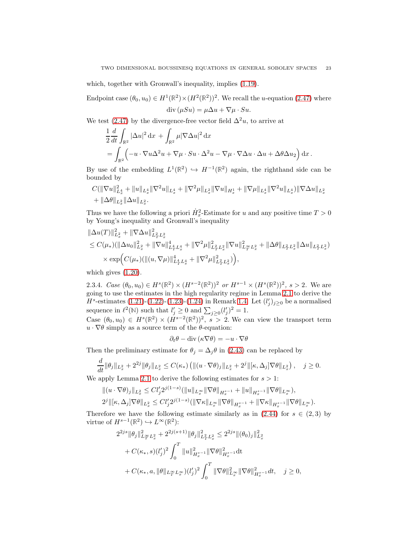which, together with Gronwall's inequality, implies  $(1.19)$ .

Endpoint case  $(\theta_0, u_0) \in H^1(\mathbb{R}^2) \times (H^2(\mathbb{R}^2))^2$ . We recall the *u*-equation [\(2.47\)](#page-21-1) where div  $(\mu Su) = \mu \Delta u + \nabla \mu \cdot Su.$ 

We test [\(2.47\)](#page-21-1) by the divergence-free vector field  $\Delta^2 u$ , to arrive at

$$
\frac{1}{2} \frac{d}{dt} \int_{\mathbb{R}^2} |\Delta u|^2 dx + \int_{\mathbb{R}^2} \mu |\nabla \Delta u|^2 dx
$$
  
= 
$$
\int_{\mathbb{R}^2} \left( -u \cdot \nabla u \Delta^2 u + \nabla \mu \cdot S u \cdot \Delta^2 u - \nabla \mu \cdot \nabla \Delta u \cdot \Delta u + \Delta \theta \Delta u_2 \right) dx.
$$

By use of the embedding  $L^1(\mathbb{R}^2) \hookrightarrow H^{-1}(\mathbb{R}^2)$  again, the righthand side can be bounded by

$$
C(\|\nabla u\|_{L_x^4}^2 + \|u\|_{L_x^4} \|\nabla^2 u\|_{L_x^4} + \|\nabla^2 \mu\|_{L_x^2} \|\nabla u\|_{H_x^1} + \|\nabla \mu\|_{L_x^4} \|\nabla^2 u\|_{L_x^4}) \|\nabla \Delta u\|_{L_x^2} + \|\Delta \theta\|_{L_x^2} \|\Delta u\|_{L_x^2}.
$$

Thus we have the following a priori  $\dot{H}_x^2$ -Estimate for u and any positive time  $T > 0$ by Young's inequality and Gronwall's inequality

$$
\|\Delta u(T)\|_{L_x^2}^2 + \|\nabla \Delta u\|_{L_T^2 L_x^2}^2
$$
  
\n
$$
\leq C(\mu_*)(\|\Delta u_0\|_{L_x^2}^2 + \|\nabla u\|_{L_T^4 L_x^4}^4 + \|\nabla^2 \mu\|_{L_T^2 L_x^2}^2 \|\nabla u\|_{L_T^\infty L_x^2}^2 + \|\Delta \theta\|_{L_T^2 L_x^2} \|\Delta u\|_{L_T^2 L_x^2})
$$
  
\n
$$
\times \exp\Big(C(\mu_*)(\|(u, \nabla \mu)\|_{L_T^4 L_x^4}^4 + \|\nabla^2 \mu\|_{L_T^2 L_x^2}^2)\Big),
$$

<span id="page-22-0"></span>which gives [\(1.20\)](#page-7-2).

2.3.4. Case  $(\theta_0, u_0) \in H^s(\mathbb{R}^2) \times (H^{s-2}(\mathbb{R}^2))^2$  or  $H^{s-1} \times (H^s(\mathbb{R}^2))^2$ ,  $s > 2$ . We are going to use the estimates in the high regularity regime in Lemma [2.1](#page-16-0) to derive the  $H^s$ -estimates [\(1.21\)](#page-7-0)-[\(1.22\)](#page-8-0)-[\(1.23\)](#page-8-1)-[\(1.24\)](#page-8-2) in Remark [1.4.](#page-7-4) Let  $(l'_j)_{j\geq 0}$  be a normalised sequence in  $\ell^2(\mathbb{N})$  such that  $l'_j \geq 0$  and  $\sum_{j\geq 0} (l'_j)^2 = 1$ .

Case  $(\theta_0, u_0) \in H^s(\mathbb{R}^2) \times (H^{s-2}(\mathbb{R}^2))^2$ ,  $s > 2$ . We can view the transport term  $u \cdot \nabla \theta$  simply as a source term of the  $\theta$ -equation:

$$
\partial_t \theta - \mathrm{div}\left(\kappa \nabla \theta\right) = -u \cdot \nabla \theta
$$

Then the preliminary estimate for  $\theta_j = \Delta_j \theta$  in [\(2.43\)](#page-19-1) can be replaced by

$$
\frac{d}{dt} \|\theta_j\|_{L^2_x} + 2^{2j} \|\theta_j\|_{L^2_x} \leq C(\kappa_*) \left( \|(u \cdot \nabla \theta)_j\|_{L^2_x} + 2^j \|[ \kappa, \Delta_j] \nabla \theta \|_{L^2_x} \right), \quad j \geq 0.
$$

We apply Lemma [2.1](#page-16-0) to derive the following estimates for  $s > 1$ :

$$
\begin{split} &\|(u\cdot\nabla\theta)_j\|_{L^2_x} \leq C l'_j 2^{j(1-s)} (\|u\|_{L^\infty_x}\|\nabla\theta\|_{H^{s-1}_x} + \|u\|_{H^{s-1}_x}\|\nabla\theta\|_{L^\infty_x}),\\ &2^j\|[\kappa,\Delta_j]\nabla\theta\|_{L^2_x} \leq C l'_j 2^{j(1-s)} (\|\nabla\kappa\|_{L^\infty_x}\|\nabla\theta\|_{H^{s-1}_x} + \|\nabla\kappa\|_{H^{s-1}_x}\|\nabla\theta\|_{L^\infty_x}). \end{split}
$$

Therefore we have the following estimate similarly as in  $(2.44)$  for  $s \in (2,3)$  by virtue of  $H^{s-1}(\mathbb{R}^2) \hookrightarrow L^{\infty}(\mathbb{R}^2)$ :

$$
2^{2js} \|\theta_j\|_{L^{\infty}_T L^2_x}^2 + 2^{2j(s+1)} \|\theta_j\|_{L^2_T L^2_x}^2 \leq 2^{2js} \|(\theta_0)_j\|_{L^2_x}^2
$$
  
+  $C(\kappa_*, s)(l'_j)^2 \int_0^T \|u\|_{H^{s-1}_x}^2 \|\nabla \theta\|_{H^{s-1}_x}^2 dt$   
+  $C(\kappa_*, a, \|\theta\|_{L^{\infty}_T L^{\infty}_x})(l'_j)^2 \int_0^T \|\nabla \theta\|_{L^{\infty}_x}^2 \|\nabla \theta\|_{H^{s-1}_x}^2 dt, \quad j \ge 0,$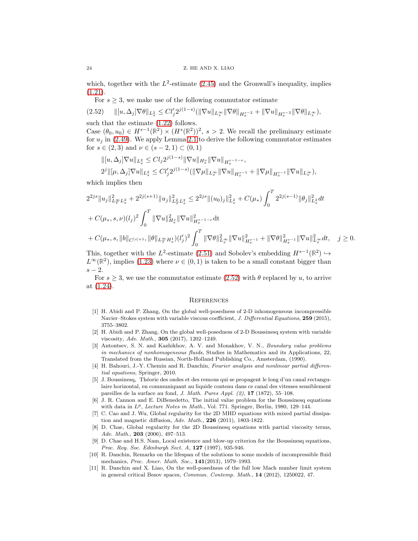which, together with the  $L^2$ -estimate [\(2.45\)](#page-19-3) and the Gronwall's inequality, implies [\(1.21\)](#page-7-0).

For  $s \geq 3$ , we make use of the following commutator estimate

<span id="page-23-11"></span>k[u, ∆j]∇θkL<sup>2</sup> <sup>x</sup> <sup>≤</sup> Cl′ j2 j(1−s) (k∇ukL∞<sup>x</sup> k∇θkHs−<sup>2</sup> x + k∇ukHs−<sup>2</sup> x k∇θkL∞<sup>x</sup> (2.52) ),

such that the estimate [\(1.22\)](#page-8-0) follows.

Case  $(\theta_0, u_0) \in H^{s-1}(\mathbb{R}^2) \times (H^s(\mathbb{R}^2))^2$ ,  $s > 2$ . We recall the preliminary estimate for  $u_j$  in [\(2.49\)](#page-21-3). We apply Lemma [2.1](#page-16-0) to derive the following commutator estimates for  $s \in (2, 3)$  and  $\nu \in (s - 2, 1) \subset (0, 1)$ 

$$
\begin{aligned} &\| [u,\Delta_j] \nabla u \|_{L^2_x} \leq C l_j 2^{j(1-s)} \|\nabla u \|_{H^{\nu}_x} \|\nabla u \|_{H^{s-1-\nu}_x}, \\ &2^j \| [\mu,\Delta_j] \nabla u \|_{L^2_x} \leq C l'_j 2^{j(1-s)} (\|\nabla \mu \|_{L^\infty_x} \|\nabla u \|_{H^{s-1}_x} + \|\nabla \mu \|_{H^{s-1}_x} \|\nabla u \|_{L^\infty_x}), \end{aligned}
$$

which implies then

$$
2^{2js} \|u_j\|_{L_T^\infty L_x^2}^2 + 2^{2j(s+1)} \|u_j\|_{L_T^2 L_x^2}^2 \le 2^{2js} \| (u_0)_j \|_{L_x^2}^2 + C(\mu_*) \int_0^T 2^{2j(s-1)} \|\theta_j\|_{L_x^2}^2 dt
$$
  
+  $C(\mu_*, s, \nu)(l_j)^2 \int_0^T \|\nabla u\|_{H_x^{\nu}}^2 \|\nabla u\|_{H_x^{s-1-\nu}}^2 dt$   
+  $C(\mu_*, s, \|b\|_{C^{[s]+1}}, \|\theta\|_{L_T^\infty H_x^1})(l_j')^2 \int_0^T \|\nabla \theta\|_{L_x^\infty}^2 \|\nabla u\|_{H_x^{s-1}}^2 + \|\nabla \theta\|_{H_x^{s-1}}^2 \|\nabla u\|_{L_x^\infty}^2 dt, \quad j \ge 0.$ 

This, together with the  $L^2$ -estimate [\(2.51\)](#page-21-4) and Sobolev's embedding  $H^{s-1}(\mathbb{R}^2) \hookrightarrow$  $L^{\infty}(\mathbb{R}^2)$ , implies [\(1.23\)](#page-8-1) where  $\nu \in (0,1)$  is taken to be a small constant bigger than  $s-2$ .

For  $s \geq 3$ , we use the commutator estimate [\(2.52\)](#page-23-11) with  $\theta$  replaced by u, to arrive at [\(1.24\)](#page-8-2).

#### **REFERENCES**

- <span id="page-23-8"></span>[1] H. Abidi and P. Zhang, On the global well-posedness of 2-D inhomogeneous incompressible Navier–Stokes system with variable viscous coefficient, J. Differential Equations, 259 (2015), 3755–3802.
- <span id="page-23-6"></span>[2] H. Abidi and P. Zhang, On the global well-posedness of 2-D Boussinesq system with variable viscosity, Adv. Math., 305 (2017), 1202–1249.
- <span id="page-23-7"></span>[3] Antontsev, S. N. and Kazhikhov, A. V. and Monakhov, V. N., Boundary value problems in mechanics of nonhomogeneous fluids, Studies in Mathematics and its Applications, 22, Translated from the Russian, North-Holland Publishing Co., Amsterdam, (1990).
- <span id="page-23-9"></span>[4] H. Bahouri, J.-Y. Chemin and R. Danchin, Fourier analysis and nonlinear partial differential equations, Springer, 2010.
- <span id="page-23-0"></span>[5] J. Boussinesq, Théorie des ondes et des remous qui se propagent le long d'un canal rectangulaire horizontal, en communiquant au liquide contenu dans ce canal des vitesses sensiblement pareilles de la surface au fond, J. Math. Pures Appl. (2), 17 (1872), 55–108.
- <span id="page-23-3"></span>[6] J. R. Cannon and E. DiBenedetto, The initial value problem for the Boussinesq equations with data in  $L^p$ , Lecture Notes in Math., Vol. 771. Springer, Berlin, 1980, 129–144.
- <span id="page-23-5"></span>[7] C. Cao and J. Wu, Global regularity for the 2D MHD equations with mixed partial dissipation and magnetic diffusion, Adv. Math., 226 (2011), 1803-1822.
- <span id="page-23-4"></span>[8] D. Chae, Global regularity for the 2D Boussinesq equations with partial viscosity terms, Adv. Math., 203 (2006), 497–513.
- <span id="page-23-1"></span>[9] D. Chae and H.S. Nam, Local existence and blow-up criterion for the Boussinesq equations, Proc. Roy. Soc. Edinburgh Sect. A, 127 (1997), 935-946.
- <span id="page-23-2"></span>[10] R. Danchin, Remarks on the lifespan of the solutions to some models of incompressible fluid mechanics, Proc. Amer. Math. Soc., 141(2013), 1979-1993.
- <span id="page-23-10"></span>[11] R. Danchin and X. Liao, On the well-posedness of the full low Mach number limit system in general critical Besov spaces, Commun. Contemp. Math., 14 (2012), 1250022, 47.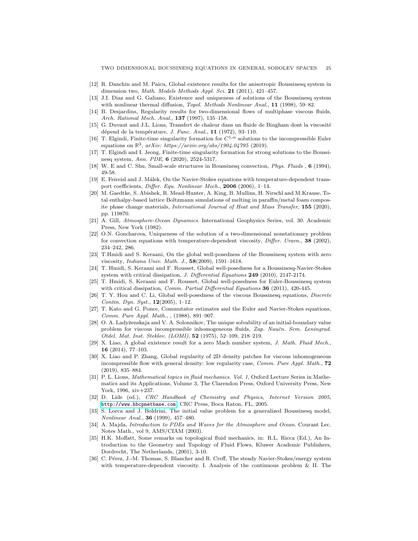- <span id="page-24-16"></span><span id="page-24-11"></span>[12] R. Danchin and M. Paicu, Global existence results for the anisotropic Boussinesq system in dimension two, Math. Models Methods Appl. Sci. 21 (2011), 421-457.
- [13] J.I. Diaz and G. Galiano, Existence and uniqueness of solutions of the Boussinesq system with nonlinear thermal diffusion, Topol. Methods Nonlinear Anal., 11 (1998), 59–82.
- <span id="page-24-21"></span>[14] B. Desjardins, Regularity results for two-dimensional flows of multiphase viscous fluids, Arch. Rational Mech. Anal., 137 (1997), 135–158.
- <span id="page-24-14"></span>[15] G. Duvaut and J.L. Lions, Transfert de chaleur dans un fluide de Bingham dont la viscosité dépend de la température, *J. Func. Anal.*,  $11$  (1972), 93-110.
- <span id="page-24-7"></span>[16] T. Elgindi, Finite-time singularity formation for  $C^{1,\alpha}$  solutions to the incompressible Euler equations on  $\mathbb{R}^3$ ,  $arXiv: <a href="https://arxiv.org/abs/1904.04795(2019))}{https://arxiv.org/abs/1904.04795(2019)}</math>.$
- <span id="page-24-6"></span>[17] T. Elgindi and I. Jeong, Finite-time singularity formation for strong solutions to the Boussinesq system, Ann. PDE, 6 (2020), 2524-5317.
- <span id="page-24-15"></span><span id="page-24-5"></span>[18] W. E and C. Shu, Small-scale structures in Boussinesq convection, Phys. Fluids , 6 (1994), 49-58.
- [19] E. Feireisl and J. Málek, On the Navier-Stokes equations with temperature-dependent transport coefficients, Differ. Equ. Nonlinear Mech., 2006 (2006), 1–14.
- <span id="page-24-3"></span>[20] M. Gaedtke, S. Abishek, R. Mead-Hunter, A. King, B. Mullins, H. Nirschl and M.Krause, Total enthalpy-based lattice Boltzmann simulations of melting in paraffin/metal foam composite phase change materials, International Journal of Heat and Mass Transfer, 155 (2020), pp. 119870.
- <span id="page-24-0"></span>[21] A. Gill, Atmosphere-Ocean Dynamics. International Geophysics Series, vol. 30. Academic Press, New York (1982).
- <span id="page-24-17"></span>[22] O.N. Goncharova, Uniqueness of the solution of a two-dimensional nonstationary problem for convection equations with temperature-dependent viscosity, Differ. Uravn., 38 (2002), 234–242, 286.
- <span id="page-24-10"></span>[23] T.Hmidi and S. Keraani, On the global well-posedness of the Boussinesq system with zero viscosity, Indiana Univ. Math. J., 58(2009), 1591–1618.
- <span id="page-24-12"></span>[24] T. Hmidi, S. Keraani and F. Rousset, Global well-posedness for a Boussinesq-Navier-Stokes system with critical dissipation, J. Differential Equations 249 (2010), 2147-2174.
- <span id="page-24-13"></span>[25] T. Hmidi, S. Keraani and F. Rousset, Global well-posedness for Euler-Boussinesq system with critical dissipation, *Comm. Partial Differential Equations* 36 (2011), 420-445.
- <span id="page-24-9"></span>[26] T. Y. Hou and C. Li, Global well-posedness of the viscous Boussinesq equations, Discrete Contin. Dyn. Syst., 12(2005), 1–12.
- [27] T. Kato and G. Ponce, Commutator estimates and the Euler and Navier-Stokes equations, Comm. Pure Appl. Math., , (1988), 891–907.
- <span id="page-24-20"></span>[28] O. A. Ladyženskaja and V. A. Solonnikov, The unique solvability of an initial-boundary value problem for viscous incompressible inhomogeneous fluids, Zap. Naučn. Sem. Leningrad. Otdel. Mat. Inst. Steklov. (LOMI), 52 (1975), 52–109, 218–219.
- <span id="page-24-22"></span>[29] X. Liao, A global existence result for a zero Mach number system, J. Math. Fluid Mech., 16 (2014), 77–103.
- [30] X. Liao and P. Zhang, Global regularity of 2D density patches for viscous inhomogeneous incompressible flow with general density: low regularity case, Comm. Pure Appl. Math., 72 (2019), 835–884.
- <span id="page-24-19"></span>[31] P. L. Lions, Mathematical topics in fluid mechanics. Vol. 1, Oxford Lecture Series in Mathematics and its Applications, Volume 3, The Clarendon Press, Oxford University Press, New York, 1996, xiv+237.
- <span id="page-24-2"></span>[32] D. Lide (ed.), CRC Handbook of Chemistry and Physics, Internet Version 2005, <http://www.hbcpnetbase.com>, CRC Press, Boca Raton, FL, 2005.
- <span id="page-24-18"></span>[33] S. Lorca and J. Boldrini, The initial value problem for a generalized Boussinesq model, Nonlinear Anal., 36 (1999), 457–480.
- <span id="page-24-1"></span>[34] A. Majda, *Introduction to PDEs and Waves for the Atmosphere and Ocean*. Courant Lec. Notes Math., vol 9, AMS/CIAM (2003).
- <span id="page-24-8"></span>[35] H.K. Moffatt, Some remarks on topological fluid mechanics, in: R.L. Ricca (Ed.), An Introduction to the Geometry and Topology of Fluid Flows, Kluwer Academic Publishers, Dordrecht, The Netherlands, (2001), 3-10.
- <span id="page-24-4"></span>[36] C. Pérez, J.-M. Thomas, S. Blancher and R. Creff, The steady Navier-Stokes/energy system with temperature-dependent viscosity. I. Analysis of the continuous problem & II. The